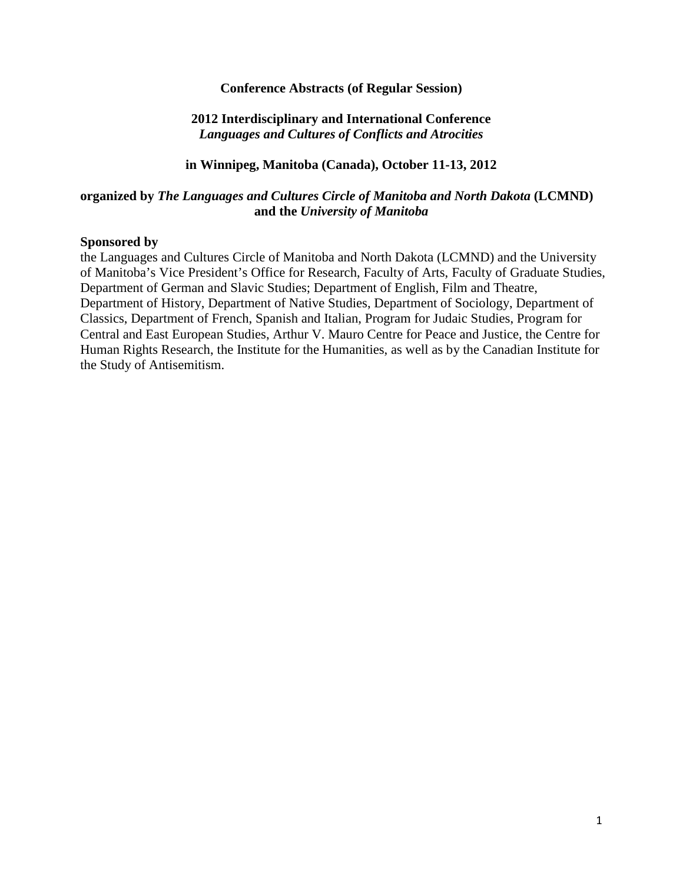#### **Conference Abstracts (of Regular Session)**

## **2012 Interdisciplinary and International Conference** *Languages and Cultures of Conflicts and Atrocities*

#### **in Winnipeg, Manitoba (Canada), October 11-13, 2012**

#### **organized by** *The Languages and Cultures Circle of Manitoba and North Dakota* **(LCMND) and the** *University of Manitoba*

#### **Sponsored by**

the Languages and Cultures Circle of Manitoba and North Dakota (LCMND) and the University of Manitoba's Vice President's Office for Research, Faculty of Arts, Faculty of Graduate Studies, Department of German and Slavic Studies; Department of English, Film and Theatre, Department of History, Department of Native Studies, Department of Sociology, Department of Classics, Department of French, Spanish and Italian, Program for Judaic Studies, Program for Central and East European Studies, Arthur V. Mauro Centre for Peace and Justice, the Centre for Human Rights Research, the Institute for the Humanities, as well as by the Canadian Institute for the Study of Antisemitism.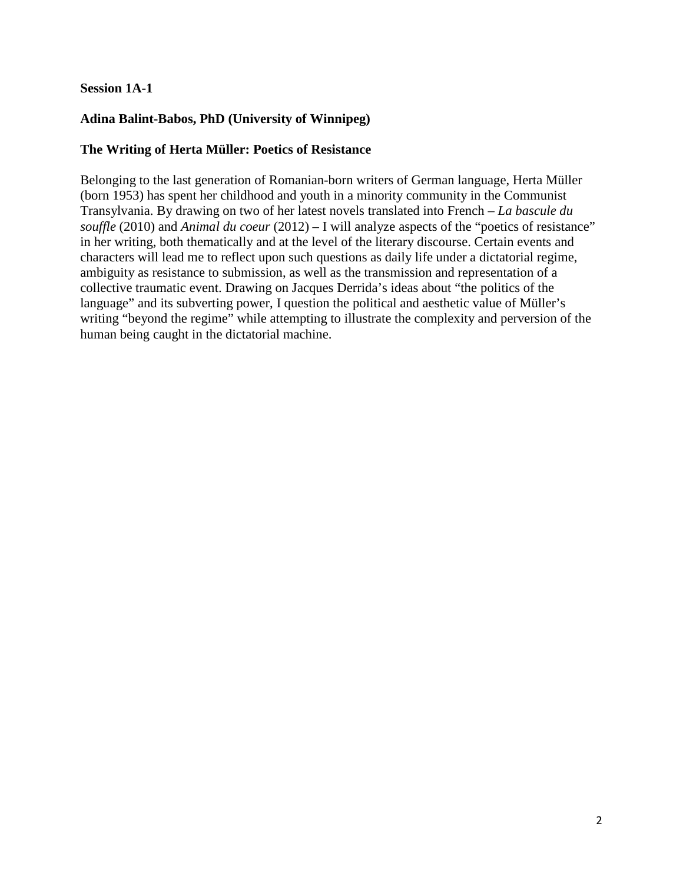## **Session 1A-1**

# **Adina Balint-Babos, PhD (University of Winnipeg)**

#### **The Writing of Herta Müller: Poetics of Resistance**

Belonging to the last generation of Romanian-born writers of German language, Herta Müller (born 1953) has spent her childhood and youth in a minority community in the Communist Transylvania. By drawing on two of her latest novels translated into French – *La bascule du souffle* (2010) and *Animal du coeur* (2012) – I will analyze aspects of the "poetics of resistance" in her writing, both thematically and at the level of the literary discourse. Certain events and characters will lead me to reflect upon such questions as daily life under a dictatorial regime, ambiguity as resistance to submission, as well as the transmission and representation of a collective traumatic event. Drawing on Jacques Derrida's ideas about "the politics of the language" and its subverting power, I question the political and aesthetic value of Müller's writing "beyond the regime" while attempting to illustrate the complexity and perversion of the human being caught in the dictatorial machine.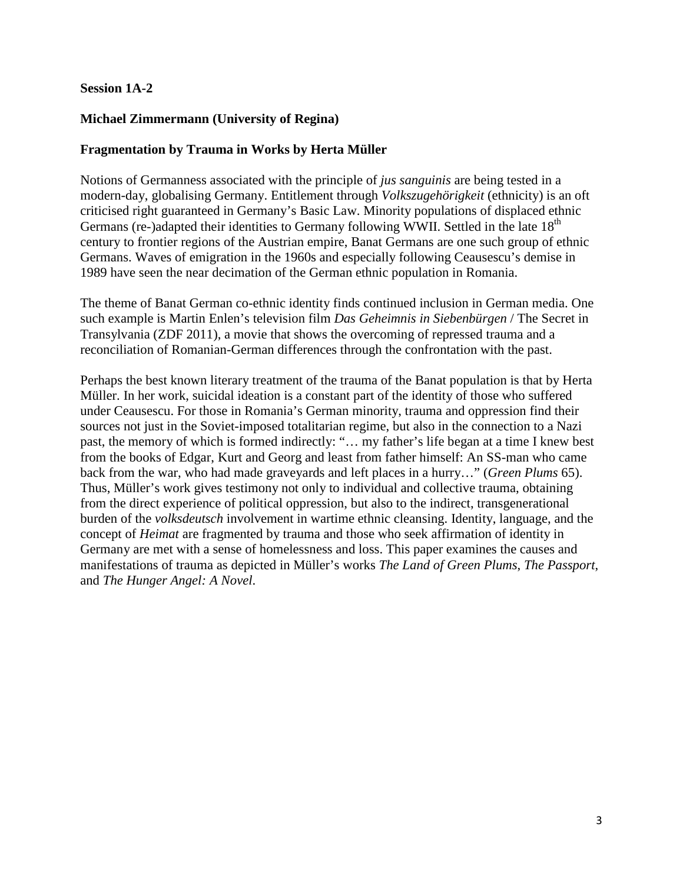## **Session 1A-2**

## **Michael Zimmermann (University of Regina)**

## **Fragmentation by Trauma in Works by Herta Müller**

Notions of Germanness associated with the principle of *jus sanguinis* are being tested in a modern-day, globalising Germany. Entitlement through *Volkszugehörigkeit* (ethnicity) is an oft criticised right guaranteed in Germany's Basic Law. Minority populations of displaced ethnic Germans (re-)adapted their identities to Germany following WWII. Settled in the late 18<sup>th</sup> century to frontier regions of the Austrian empire, Banat Germans are one such group of ethnic Germans. Waves of emigration in the 1960s and especially following Ceausescu's demise in 1989 have seen the near decimation of the German ethnic population in Romania.

The theme of Banat German co-ethnic identity finds continued inclusion in German media. One such example is Martin Enlen's television film *Das Geheimnis in Siebenbürgen* / The Secret in Transylvania (ZDF 2011), a movie that shows the overcoming of repressed trauma and a reconciliation of Romanian-German differences through the confrontation with the past.

Perhaps the best known literary treatment of the trauma of the Banat population is that by Herta Müller. In her work, suicidal ideation is a constant part of the identity of those who suffered under Ceausescu. For those in Romania's German minority, trauma and oppression find their sources not just in the Soviet-imposed totalitarian regime, but also in the connection to a Nazi past, the memory of which is formed indirectly: "… my father's life began at a time I knew best from the books of Edgar, Kurt and Georg and least from father himself: An SS-man who came back from the war, who had made graveyards and left places in a hurry…" (*Green Plums* 65). Thus, Müller's work gives testimony not only to individual and collective trauma, obtaining from the direct experience of political oppression, but also to the indirect, transgenerational burden of the *volksdeutsch* involvement in wartime ethnic cleansing. Identity, language, and the concept of *Heimat* are fragmented by trauma and those who seek affirmation of identity in Germany are met with a sense of homelessness and loss. This paper examines the causes and manifestations of trauma as depicted in Müller's works *The Land of Green Plums*, *The Passport*, and *The Hunger Angel: A Novel*.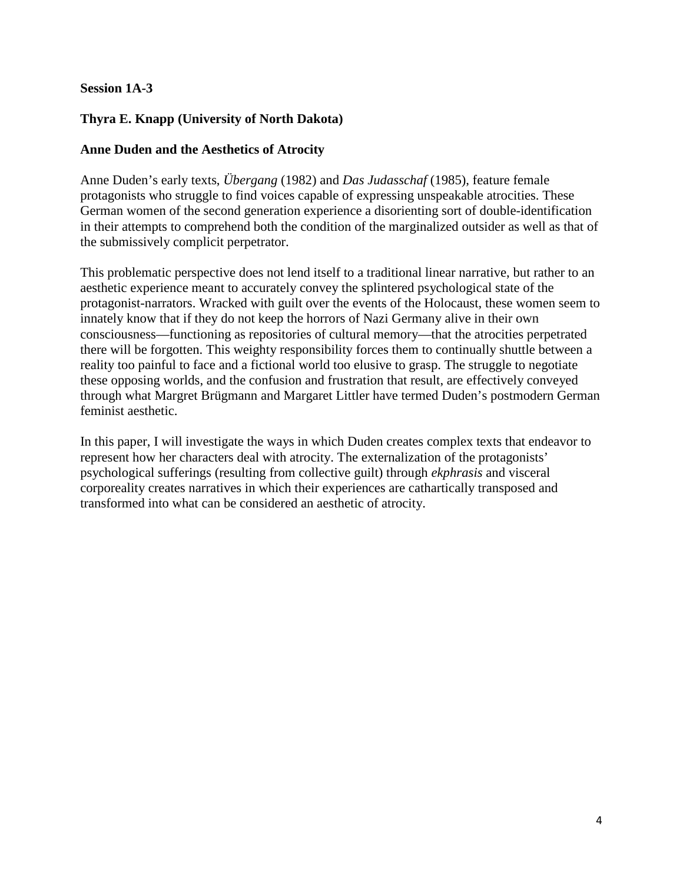## **Session 1A-3**

# **Thyra E. Knapp (University of North Dakota)**

#### **Anne Duden and the Aesthetics of Atrocity**

Anne Duden's early texts, *Übergang* (1982) and *Das Judasschaf* (1985), feature female protagonists who struggle to find voices capable of expressing unspeakable atrocities. These German women of the second generation experience a disorienting sort of double-identification in their attempts to comprehend both the condition of the marginalized outsider as well as that of the submissively complicit perpetrator.

This problematic perspective does not lend itself to a traditional linear narrative, but rather to an aesthetic experience meant to accurately convey the splintered psychological state of the protagonist-narrators. Wracked with guilt over the events of the Holocaust, these women seem to innately know that if they do not keep the horrors of Nazi Germany alive in their own consciousness—functioning as repositories of cultural memory—that the atrocities perpetrated there will be forgotten. This weighty responsibility forces them to continually shuttle between a reality too painful to face and a fictional world too elusive to grasp. The struggle to negotiate these opposing worlds, and the confusion and frustration that result, are effectively conveyed through what Margret Brügmann and Margaret Littler have termed Duden's postmodern German feminist aesthetic.

In this paper, I will investigate the ways in which Duden creates complex texts that endeavor to represent how her characters deal with atrocity. The externalization of the protagonists' psychological sufferings (resulting from collective guilt) through *ekphrasis* and visceral corporeality creates narratives in which their experiences are cathartically transposed and transformed into what can be considered an aesthetic of atrocity.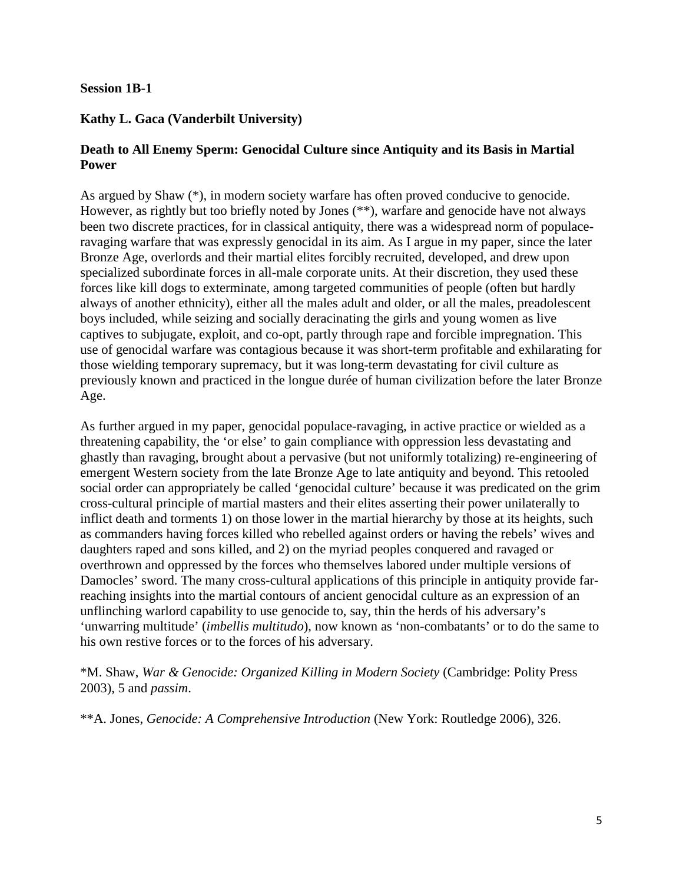#### **Session 1B-1**

# **Kathy L. Gaca (Vanderbilt University)**

# **Death to All Enemy Sperm: Genocidal Culture since Antiquity and its Basis in Martial Power**

As argued by Shaw (\*), in modern society warfare has often proved conducive to genocide. However, as rightly but too briefly noted by Jones (\*\*), warfare and genocide have not always been two discrete practices, for in classical antiquity, there was a widespread norm of populaceravaging warfare that was expressly genocidal in its aim. As I argue in my paper, since the later Bronze Age, overlords and their martial elites forcibly recruited, developed, and drew upon specialized subordinate forces in all-male corporate units. At their discretion, they used these forces like kill dogs to exterminate, among targeted communities of people (often but hardly always of another ethnicity), either all the males adult and older, or all the males, preadolescent boys included, while seizing and socially deracinating the girls and young women as live captives to subjugate, exploit, and co-opt, partly through rape and forcible impregnation. This use of genocidal warfare was contagious because it was short-term profitable and exhilarating for those wielding temporary supremacy, but it was long-term devastating for civil culture as previously known and practiced in the longue durée of human civilization before the later Bronze Age.

As further argued in my paper, genocidal populace-ravaging, in active practice or wielded as a threatening capability, the 'or else' to gain compliance with oppression less devastating and ghastly than ravaging, brought about a pervasive (but not uniformly totalizing) re-engineering of emergent Western society from the late Bronze Age to late antiquity and beyond. This retooled social order can appropriately be called 'genocidal culture' because it was predicated on the grim cross-cultural principle of martial masters and their elites asserting their power unilaterally to inflict death and torments 1) on those lower in the martial hierarchy by those at its heights, such as commanders having forces killed who rebelled against orders or having the rebels' wives and daughters raped and sons killed, and 2) on the myriad peoples conquered and ravaged or overthrown and oppressed by the forces who themselves labored under multiple versions of Damocles' sword. The many cross-cultural applications of this principle in antiquity provide farreaching insights into the martial contours of ancient genocidal culture as an expression of an unflinching warlord capability to use genocide to, say, thin the herds of his adversary's 'unwarring multitude' (*imbellis multitudo*), now known as 'non-combatants' or to do the same to his own restive forces or to the forces of his adversary.

\*M. Shaw, *War & Genocide: Organized Killing in Modern Society* (Cambridge: Polity Press 2003), 5 and *passim*.

\*\*A. Jones, *Genocide: A Comprehensive Introduction* (New York: Routledge 2006), 326.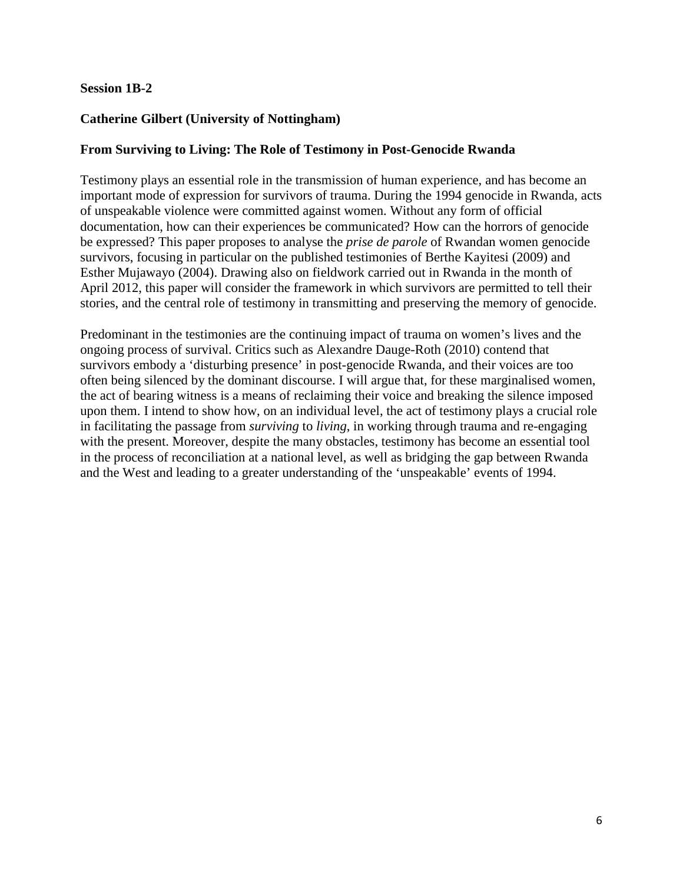#### **Session 1B-2**

# **Catherine Gilbert (University of Nottingham)**

## **From Surviving to Living: The Role of Testimony in Post-Genocide Rwanda**

Testimony plays an essential role in the transmission of human experience, and has become an important mode of expression for survivors of trauma. During the 1994 genocide in Rwanda, acts of unspeakable violence were committed against women. Without any form of official documentation, how can their experiences be communicated? How can the horrors of genocide be expressed? This paper proposes to analyse the *prise de parole* of Rwandan women genocide survivors, focusing in particular on the published testimonies of Berthe Kayitesi (2009) and Esther Mujawayo (2004). Drawing also on fieldwork carried out in Rwanda in the month of April 2012, this paper will consider the framework in which survivors are permitted to tell their stories, and the central role of testimony in transmitting and preserving the memory of genocide.

Predominant in the testimonies are the continuing impact of trauma on women's lives and the ongoing process of survival. Critics such as Alexandre Dauge-Roth (2010) contend that survivors embody a 'disturbing presence' in post-genocide Rwanda, and their voices are too often being silenced by the dominant discourse. I will argue that, for these marginalised women, the act of bearing witness is a means of reclaiming their voice and breaking the silence imposed upon them. I intend to show how, on an individual level, the act of testimony plays a crucial role in facilitating the passage from *surviving* to *living*, in working through trauma and re-engaging with the present. Moreover, despite the many obstacles, testimony has become an essential tool in the process of reconciliation at a national level, as well as bridging the gap between Rwanda and the West and leading to a greater understanding of the 'unspeakable' events of 1994.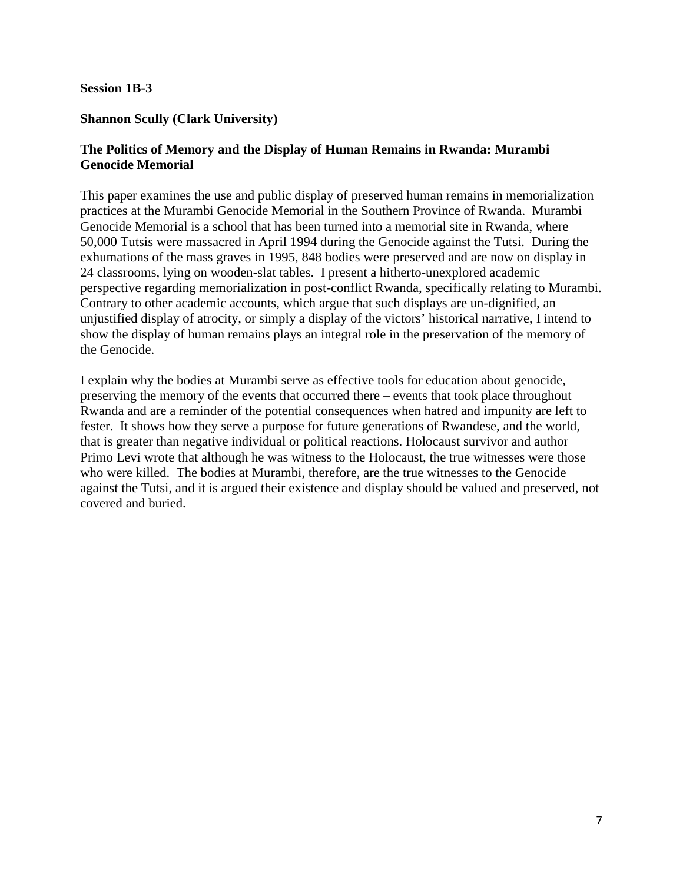#### **Session 1B-3**

#### **Shannon Scully (Clark University)**

## **The Politics of Memory and the Display of Human Remains in Rwanda: Murambi Genocide Memorial**

This paper examines the use and public display of preserved human remains in memorialization practices at the Murambi Genocide Memorial in the Southern Province of Rwanda. Murambi Genocide Memorial is a school that has been turned into a memorial site in Rwanda, where 50,000 Tutsis were massacred in April 1994 during the Genocide against the Tutsi. During the exhumations of the mass graves in 1995, 848 bodies were preserved and are now on display in 24 classrooms, lying on wooden-slat tables. I present a hitherto-unexplored academic perspective regarding memorialization in post-conflict Rwanda, specifically relating to Murambi. Contrary to other academic accounts, which argue that such displays are un-dignified, an unjustified display of atrocity, or simply a display of the victors' historical narrative, I intend to show the display of human remains plays an integral role in the preservation of the memory of the Genocide.

I explain why the bodies at Murambi serve as effective tools for education about genocide, preserving the memory of the events that occurred there – events that took place throughout Rwanda and are a reminder of the potential consequences when hatred and impunity are left to fester. It shows how they serve a purpose for future generations of Rwandese, and the world, that is greater than negative individual or political reactions. Holocaust survivor and author Primo Levi wrote that although he was witness to the Holocaust, the true witnesses were those who were killed. The bodies at Murambi, therefore, are the true witnesses to the Genocide against the Tutsi, and it is argued their existence and display should be valued and preserved, not covered and buried.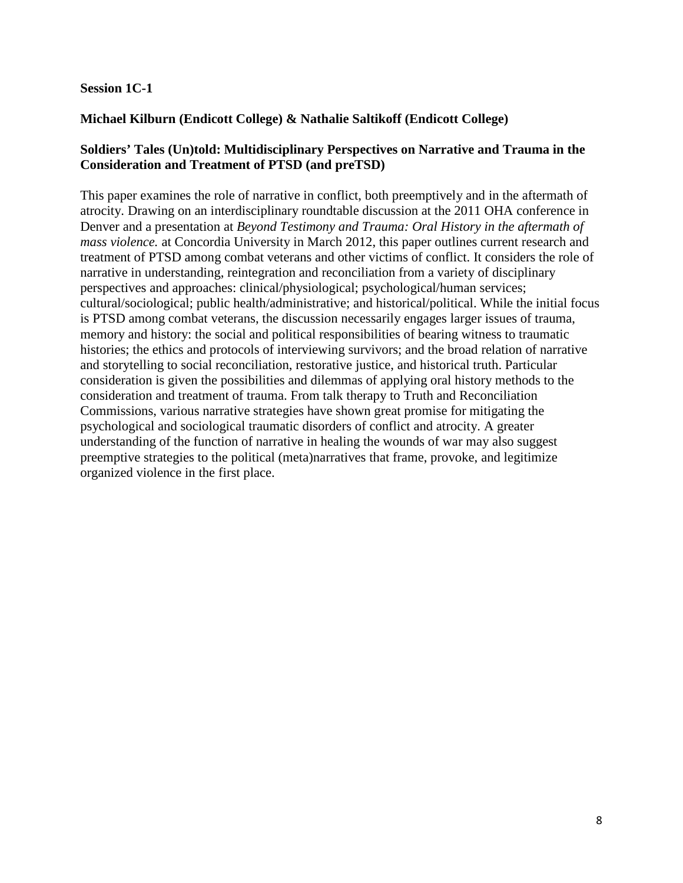## **Session 1C-1**

# **Michael Kilburn (Endicott College) & Nathalie Saltikoff (Endicott College)**

## **Soldiers' Tales (Un)told: Multidisciplinary Perspectives on Narrative and Trauma in the Consideration and Treatment of PTSD (and preTSD)**

This paper examines the role of narrative in conflict, both preemptively and in the aftermath of atrocity. Drawing on an interdisciplinary roundtable discussion at the 2011 OHA conference in Denver and a presentation at *Beyond Testimony and Trauma: Oral History in the aftermath of mass violence.* at Concordia University in March 2012, this paper outlines current research and treatment of PTSD among combat veterans and other victims of conflict. It considers the role of narrative in understanding, reintegration and reconciliation from a variety of disciplinary perspectives and approaches: clinical/physiological; psychological/human services; cultural/sociological; public health/administrative; and historical/political. While the initial focus is PTSD among combat veterans, the discussion necessarily engages larger issues of trauma, memory and history: the social and political responsibilities of bearing witness to traumatic histories; the ethics and protocols of interviewing survivors; and the broad relation of narrative and storytelling to social reconciliation, restorative justice, and historical truth. Particular consideration is given the possibilities and dilemmas of applying oral history methods to the consideration and treatment of trauma. From talk therapy to Truth and Reconciliation Commissions, various narrative strategies have shown great promise for mitigating the psychological and sociological traumatic disorders of conflict and atrocity. A greater understanding of the function of narrative in healing the wounds of war may also suggest preemptive strategies to the political (meta)narratives that frame, provoke, and legitimize organized violence in the first place.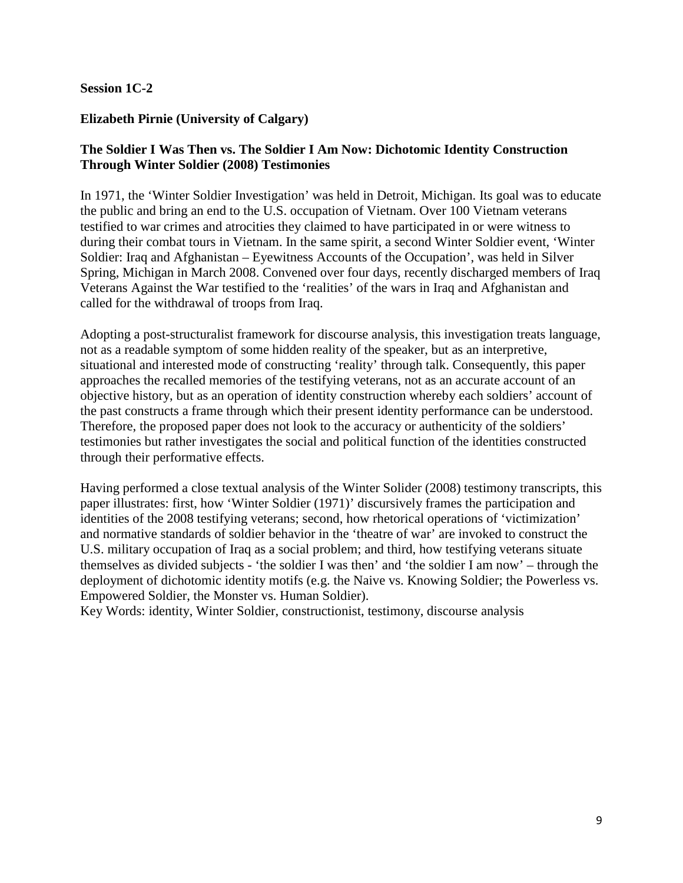## **Session 1C-2**

## **Elizabeth Pirnie (University of Calgary)**

# **The Soldier I Was Then vs. The Soldier I Am Now: Dichotomic Identity Construction Through Winter Soldier (2008) Testimonies**

In 1971, the 'Winter Soldier Investigation' was held in Detroit, Michigan. Its goal was to educate the public and bring an end to the U.S. occupation of Vietnam. Over 100 Vietnam veterans testified to war crimes and atrocities they claimed to have participated in or were witness to during their combat tours in Vietnam. In the same spirit, a second Winter Soldier event, 'Winter Soldier: Iraq and Afghanistan – Eyewitness Accounts of the Occupation', was held in Silver Spring, Michigan in March 2008. Convened over four days, recently discharged members of Iraq Veterans Against the War testified to the 'realities' of the wars in Iraq and Afghanistan and called for the withdrawal of troops from Iraq.

Adopting a post-structuralist framework for discourse analysis, this investigation treats language, not as a readable symptom of some hidden reality of the speaker, but as an interpretive, situational and interested mode of constructing 'reality' through talk. Consequently, this paper approaches the recalled memories of the testifying veterans, not as an accurate account of an objective history, but as an operation of identity construction whereby each soldiers' account of the past constructs a frame through which their present identity performance can be understood. Therefore, the proposed paper does not look to the accuracy or authenticity of the soldiers' testimonies but rather investigates the social and political function of the identities constructed through their performative effects.

Having performed a close textual analysis of the Winter Solider (2008) testimony transcripts, this paper illustrates: first, how 'Winter Soldier (1971)' discursively frames the participation and identities of the 2008 testifying veterans; second, how rhetorical operations of 'victimization' and normative standards of soldier behavior in the 'theatre of war' are invoked to construct the U.S. military occupation of Iraq as a social problem; and third, how testifying veterans situate themselves as divided subjects - 'the soldier I was then' and 'the soldier I am now' – through the deployment of dichotomic identity motifs (e.g. the Naive vs. Knowing Soldier; the Powerless vs. Empowered Soldier, the Monster vs. Human Soldier).

Key Words: identity, Winter Soldier, constructionist, testimony, discourse analysis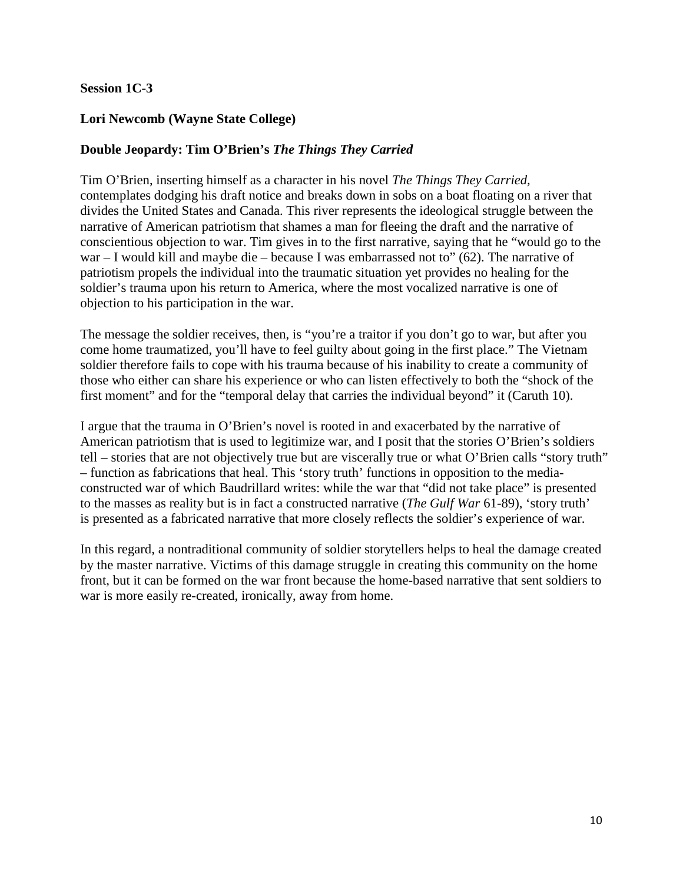## **Session 1C-3**

## **Lori Newcomb (Wayne State College)**

# **Double Jeopardy: Tim O'Brien's** *The Things They Carried*

Tim O'Brien, inserting himself as a character in his novel *The Things They Carried,*  contemplates dodging his draft notice and breaks down in sobs on a boat floating on a river that divides the United States and Canada. This river represents the ideological struggle between the narrative of American patriotism that shames a man for fleeing the draft and the narrative of conscientious objection to war. Tim gives in to the first narrative, saying that he "would go to the war – I would kill and maybe die – because I was embarrassed not to" (62). The narrative of patriotism propels the individual into the traumatic situation yet provides no healing for the soldier's trauma upon his return to America, where the most vocalized narrative is one of objection to his participation in the war.

The message the soldier receives, then, is "you're a traitor if you don't go to war, but after you come home traumatized, you'll have to feel guilty about going in the first place." The Vietnam soldier therefore fails to cope with his trauma because of his inability to create a community of those who either can share his experience or who can listen effectively to both the "shock of the first moment" and for the "temporal delay that carries the individual beyond" it (Caruth 10).

I argue that the trauma in O'Brien's novel is rooted in and exacerbated by the narrative of American patriotism that is used to legitimize war, and I posit that the stories O'Brien's soldiers tell – stories that are not objectively true but are viscerally true or what O'Brien calls "story truth" – function as fabrications that heal. This 'story truth' functions in opposition to the mediaconstructed war of which Baudrillard writes: while the war that "did not take place" is presented to the masses as reality but is in fact a constructed narrative (*The Gulf War* 61-89), 'story truth' is presented as a fabricated narrative that more closely reflects the soldier's experience of war.

In this regard, a nontraditional community of soldier storytellers helps to heal the damage created by the master narrative. Victims of this damage struggle in creating this community on the home front, but it can be formed on the war front because the home-based narrative that sent soldiers to war is more easily re-created, ironically, away from home.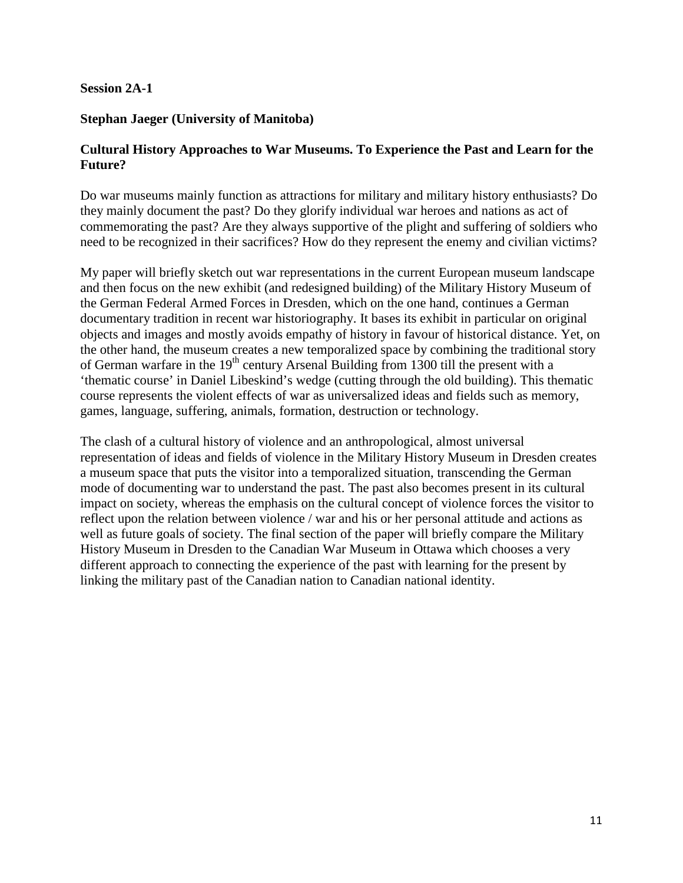#### **Session 2A-1**

## **Stephan Jaeger (University of Manitoba)**

## **Cultural History Approaches to War Museums. To Experience the Past and Learn for the Future?**

Do war museums mainly function as attractions for military and military history enthusiasts? Do they mainly document the past? Do they glorify individual war heroes and nations as act of commemorating the past? Are they always supportive of the plight and suffering of soldiers who need to be recognized in their sacrifices? How do they represent the enemy and civilian victims?

My paper will briefly sketch out war representations in the current European museum landscape and then focus on the new exhibit (and redesigned building) of the Military History Museum of the German Federal Armed Forces in Dresden, which on the one hand, continues a German documentary tradition in recent war historiography. It bases its exhibit in particular on original objects and images and mostly avoids empathy of history in favour of historical distance. Yet, on the other hand, the museum creates a new temporalized space by combining the traditional story of German warfare in the  $19<sup>th</sup>$  century Arsenal Building from 1300 till the present with a 'thematic course' in Daniel Libeskind's wedge (cutting through the old building). This thematic course represents the violent effects of war as universalized ideas and fields such as memory, games, language, suffering, animals, formation, destruction or technology.

The clash of a cultural history of violence and an anthropological, almost universal representation of ideas and fields of violence in the Military History Museum in Dresden creates a museum space that puts the visitor into a temporalized situation, transcending the German mode of documenting war to understand the past. The past also becomes present in its cultural impact on society, whereas the emphasis on the cultural concept of violence forces the visitor to reflect upon the relation between violence / war and his or her personal attitude and actions as well as future goals of society. The final section of the paper will briefly compare the Military History Museum in Dresden to the Canadian War Museum in Ottawa which chooses a very different approach to connecting the experience of the past with learning for the present by linking the military past of the Canadian nation to Canadian national identity.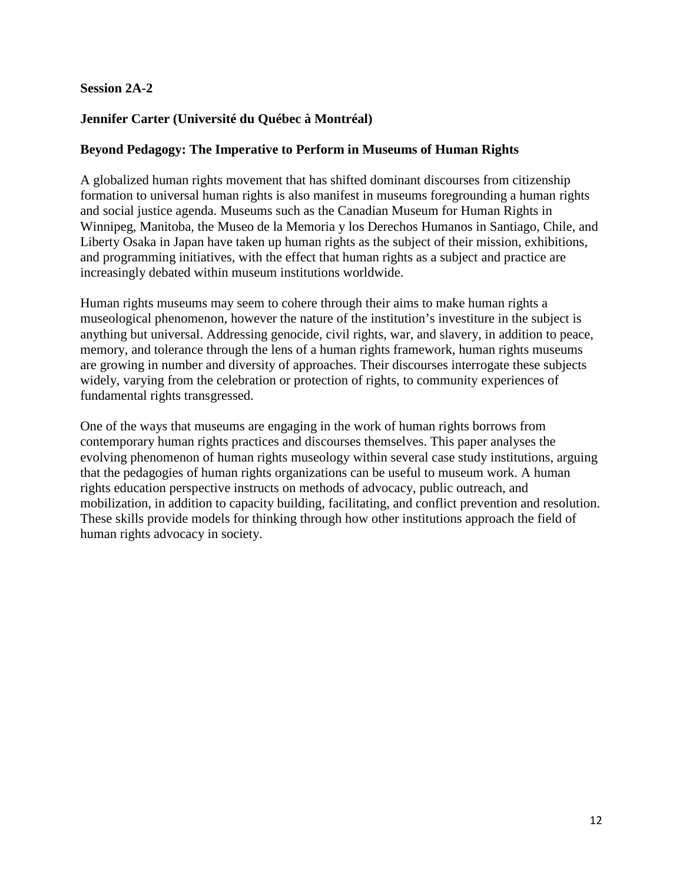## **Session 2A-2**

# **Jennifer Carter (Université du Québec à Montréal)**

#### **Beyond Pedagogy: The Imperative to Perform in Museums of Human Rights**

A globalized human rights movement that has shifted dominant discourses from citizenship formation to universal human rights is also manifest in museums foregrounding a human rights and social justice agenda. Museums such as the Canadian Museum for Human Rights in Winnipeg, Manitoba, the Museo de la Memoria y los Derechos Humanos in Santiago, Chile, and Liberty Osaka in Japan have taken up human rights as the subject of their mission, exhibitions, and programming initiatives, with the effect that human rights as a subject and practice are increasingly debated within museum institutions worldwide.

Human rights museums may seem to cohere through their aims to make human rights a museological phenomenon, however the nature of the institution's investiture in the subject is anything but universal. Addressing genocide, civil rights, war, and slavery, in addition to peace, memory, and tolerance through the lens of a human rights framework, human rights museums are growing in number and diversity of approaches. Their discourses interrogate these subjects widely, varying from the celebration or protection of rights, to community experiences of fundamental rights transgressed.

One of the ways that museums are engaging in the work of human rights borrows from contemporary human rights practices and discourses themselves. This paper analyses the evolving phenomenon of human rights museology within several case study institutions, arguing that the pedagogies of human rights organizations can be useful to museum work. A human rights education perspective instructs on methods of advocacy, public outreach, and mobilization, in addition to capacity building, facilitating, and conflict prevention and resolution. These skills provide models for thinking through how other institutions approach the field of human rights advocacy in society.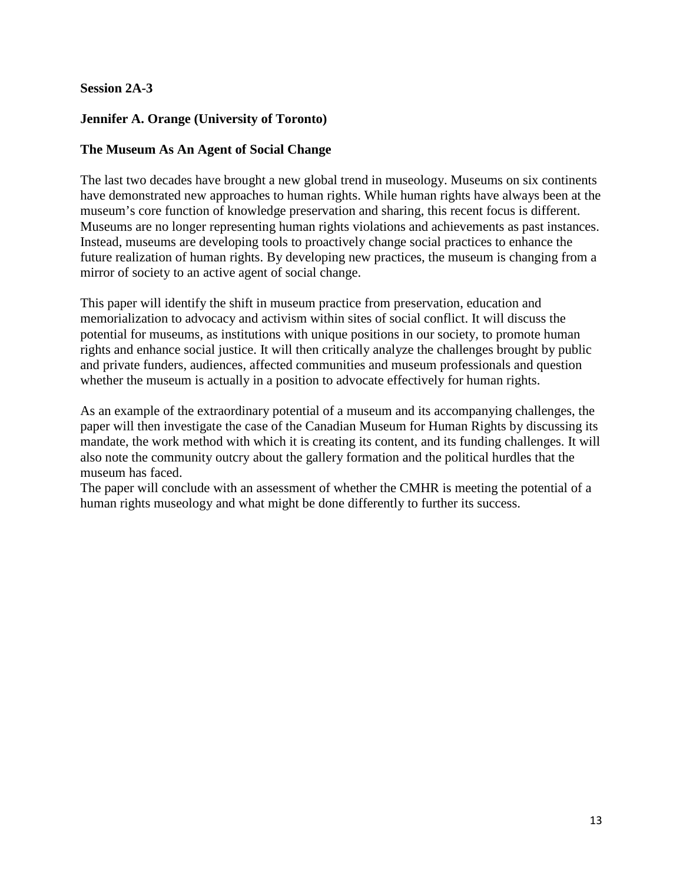# **Session 2A-3**

# **Jennifer A. Orange (University of Toronto)**

## **The Museum As An Agent of Social Change**

The last two decades have brought a new global trend in museology. Museums on six continents have demonstrated new approaches to human rights. While human rights have always been at the museum's core function of knowledge preservation and sharing, this recent focus is different. Museums are no longer representing human rights violations and achievements as past instances. Instead, museums are developing tools to proactively change social practices to enhance the future realization of human rights. By developing new practices, the museum is changing from a mirror of society to an active agent of social change.

This paper will identify the shift in museum practice from preservation, education and memorialization to advocacy and activism within sites of social conflict. It will discuss the potential for museums, as institutions with unique positions in our society, to promote human rights and enhance social justice. It will then critically analyze the challenges brought by public and private funders, audiences, affected communities and museum professionals and question whether the museum is actually in a position to advocate effectively for human rights.

As an example of the extraordinary potential of a museum and its accompanying challenges, the paper will then investigate the case of the Canadian Museum for Human Rights by discussing its mandate, the work method with which it is creating its content, and its funding challenges. It will also note the community outcry about the gallery formation and the political hurdles that the museum has faced.

The paper will conclude with an assessment of whether the CMHR is meeting the potential of a human rights museology and what might be done differently to further its success.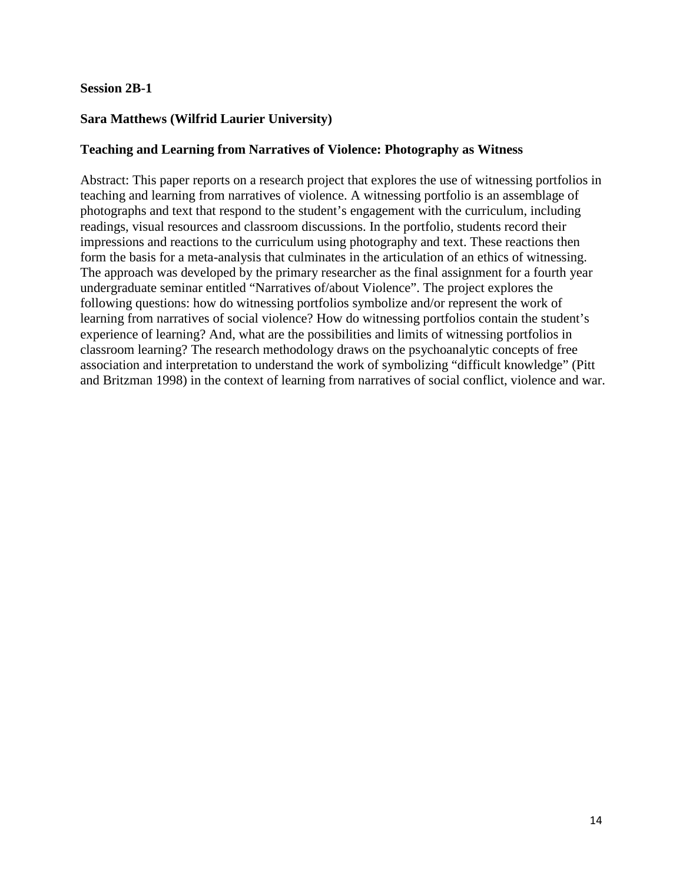#### **Session 2B-1**

# **Sara Matthews (Wilfrid Laurier University)**

# **Teaching and Learning from Narratives of Violence: Photography as Witness**

Abstract: This paper reports on a research project that explores the use of witnessing portfolios in teaching and learning from narratives of violence. A witnessing portfolio is an assemblage of photographs and text that respond to the student's engagement with the curriculum, including readings, visual resources and classroom discussions. In the portfolio, students record their impressions and reactions to the curriculum using photography and text. These reactions then form the basis for a meta-analysis that culminates in the articulation of an ethics of witnessing. The approach was developed by the primary researcher as the final assignment for a fourth year undergraduate seminar entitled "Narratives of/about Violence". The project explores the following questions: how do witnessing portfolios symbolize and/or represent the work of learning from narratives of social violence? How do witnessing portfolios contain the student's experience of learning? And, what are the possibilities and limits of witnessing portfolios in classroom learning? The research methodology draws on the psychoanalytic concepts of free association and interpretation to understand the work of symbolizing "difficult knowledge" (Pitt and Britzman 1998) in the context of learning from narratives of social conflict, violence and war.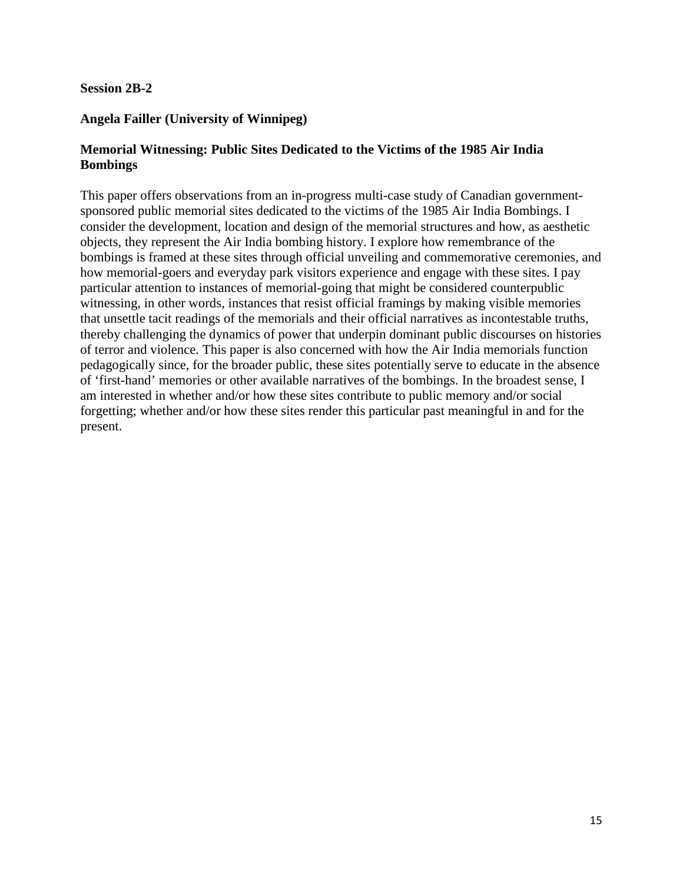#### **Session 2B-2**

# **Angela Failler (University of Winnipeg)**

## **Memorial Witnessing: Public Sites Dedicated to the Victims of the 1985 Air India Bombings**

This paper offers observations from an in-progress multi-case study of Canadian governmentsponsored public memorial sites dedicated to the victims of the 1985 Air India Bombings. I consider the development, location and design of the memorial structures and how, as aesthetic objects, they represent the Air India bombing history. I explore how remembrance of the bombings is framed at these sites through official unveiling and commemorative ceremonies, and how memorial-goers and everyday park visitors experience and engage with these sites. I pay particular attention to instances of memorial-going that might be considered counterpublic witnessing, in other words, instances that resist official framings by making visible memories that unsettle tacit readings of the memorials and their official narratives as incontestable truths, thereby challenging the dynamics of power that underpin dominant public discourses on histories of terror and violence. This paper is also concerned with how the Air India memorials function pedagogically since, for the broader public, these sites potentially serve to educate in the absence of 'first-hand' memories or other available narratives of the bombings. In the broadest sense, I am interested in whether and/or how these sites contribute to public memory and/or social forgetting; whether and/or how these sites render this particular past meaningful in and for the present.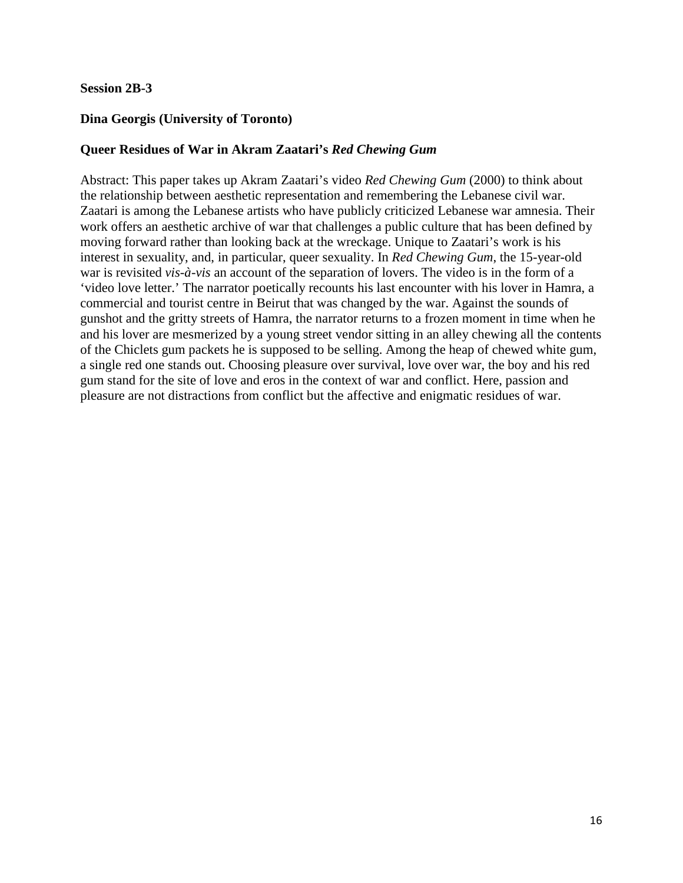#### **Session 2B-3**

#### **Dina Georgis (University of Toronto)**

#### **Queer Residues of War in Akram Zaatari's** *Red Chewing Gum*

Abstract: This paper takes up Akram Zaatari's video *Red Chewing Gum* (2000) to think about the relationship between aesthetic representation and remembering the Lebanese civil war. Zaatari is among the Lebanese artists who have publicly criticized Lebanese war amnesia. Their work offers an aesthetic archive of war that challenges a public culture that has been defined by moving forward rather than looking back at the wreckage. Unique to Zaatari's work is his interest in sexuality, and, in particular, queer sexuality. In *Red Chewing Gum*, the 15-year-old war is revisited *vis-à-vis* an account of the separation of lovers. The video is in the form of a 'video love letter.' The narrator poetically recounts his last encounter with his lover in Hamra, a commercial and tourist centre in Beirut that was changed by the war. Against the sounds of gunshot and the gritty streets of Hamra, the narrator returns to a frozen moment in time when he and his lover are mesmerized by a young street vendor sitting in an alley chewing all the contents of the Chiclets gum packets he is supposed to be selling. Among the heap of chewed white gum, a single red one stands out. Choosing pleasure over survival, love over war, the boy and his red gum stand for the site of love and eros in the context of war and conflict. Here, passion and pleasure are not distractions from conflict but the affective and enigmatic residues of war.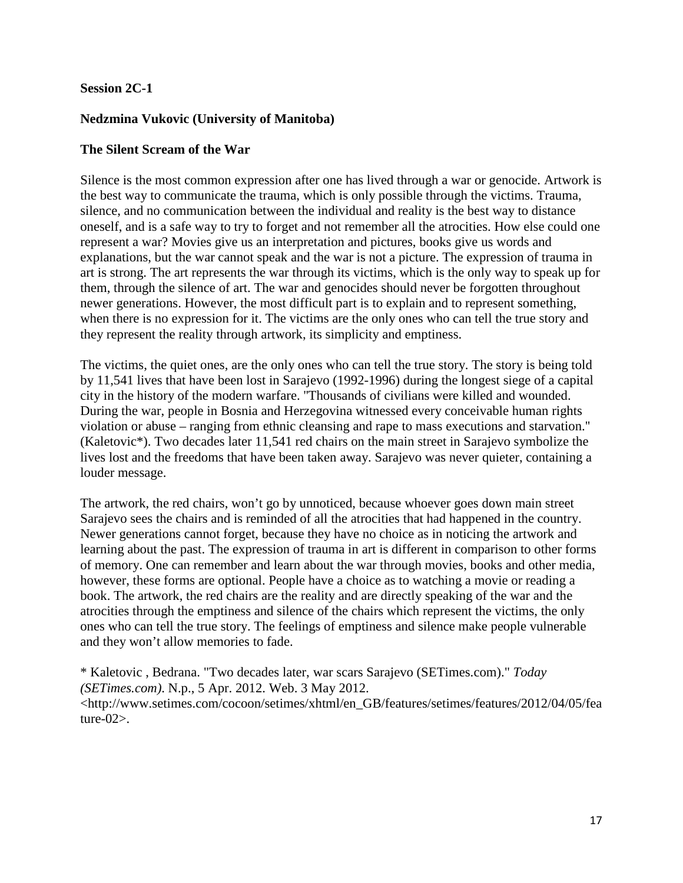#### **Session 2C-1**

# **Nedzmina Vukovic (University of Manitoba)**

#### **The Silent Scream of the War**

Silence is the most common expression after one has lived through a war or genocide. Artwork is the best way to communicate the trauma, which is only possible through the victims. Trauma, silence, and no communication between the individual and reality is the best way to distance oneself, and is a safe way to try to forget and not remember all the atrocities. How else could one represent a war? Movies give us an interpretation and pictures, books give us words and explanations, but the war cannot speak and the war is not a picture. The expression of trauma in art is strong. The art represents the war through its victims, which is the only way to speak up for them, through the silence of art. The war and genocides should never be forgotten throughout newer generations. However, the most difficult part is to explain and to represent something, when there is no expression for it. The victims are the only ones who can tell the true story and they represent the reality through artwork, its simplicity and emptiness.

The victims, the quiet ones, are the only ones who can tell the true story. The story is being told by 11,541 lives that have been lost in Sarajevo (1992-1996) during the longest siege of a capital city in the history of the modern warfare. ''Thousands of civilians were killed and wounded. During the war, people in Bosnia and Herzegovina witnessed every conceivable human rights violation or abuse – ranging from ethnic cleansing and rape to mass executions and starvation.'' (Kaletovic\*). Two decades later 11,541 red chairs on the main street in Sarajevo symbolize the lives lost and the freedoms that have been taken away. Sarajevo was never quieter, containing a louder message.

The artwork, the red chairs, won't go by unnoticed, because whoever goes down main street Sarajevo sees the chairs and is reminded of all the atrocities that had happened in the country. Newer generations cannot forget, because they have no choice as in noticing the artwork and learning about the past. The expression of trauma in art is different in comparison to other forms of memory. One can remember and learn about the war through movies, books and other media, however, these forms are optional. People have a choice as to watching a movie or reading a book. The artwork, the red chairs are the reality and are directly speaking of the war and the atrocities through the emptiness and silence of the chairs which represent the victims, the only ones who can tell the true story. The feelings of emptiness and silence make people vulnerable and they won't allow memories to fade.

\* Kaletovic , Bedrana. "Two decades later, war scars Sarajevo (SETimes.com)." *Today (SETimes.com)*. N.p., 5 Apr. 2012. Web. 3 May 2012. <http://www.setimes.com/cocoon/setimes/xhtml/en\_GB/features/setimes/features/2012/04/05/fea ture- $02$ .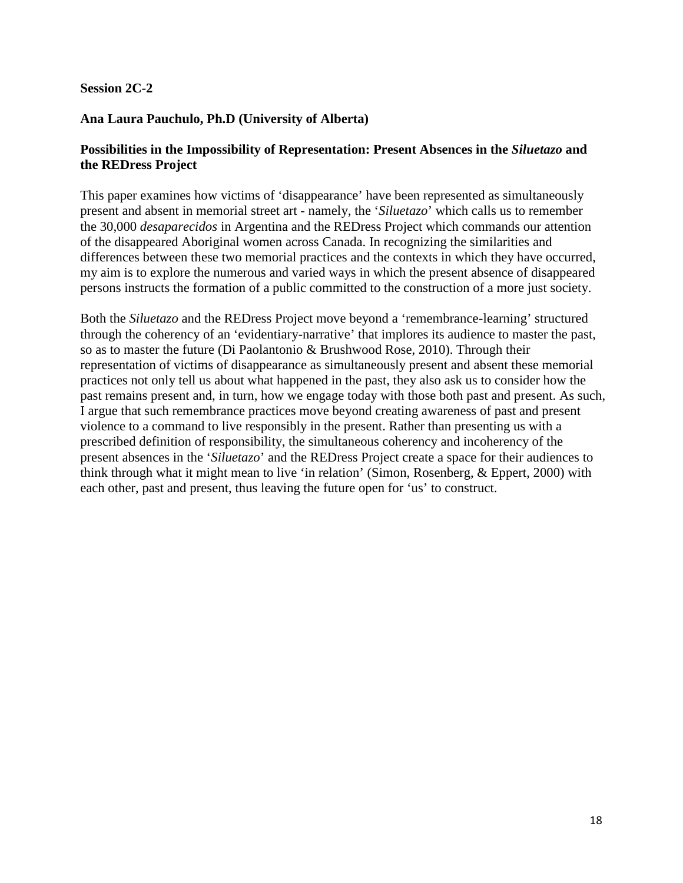#### **Session 2C-2**

# **Ana Laura Pauchulo, Ph.D (University of Alberta)**

## **Possibilities in the Impossibility of Representation: Present Absences in the** *Siluetazo* **and the REDress Project**

This paper examines how victims of 'disappearance' have been represented as simultaneously present and absent in memorial street art - namely, the '*Siluetazo*' which calls us to remember the 30,000 *desaparecidos* in Argentina and the REDress Project which commands our attention of the disappeared Aboriginal women across Canada. In recognizing the similarities and differences between these two memorial practices and the contexts in which they have occurred, my aim is to explore the numerous and varied ways in which the present absence of disappeared persons instructs the formation of a public committed to the construction of a more just society.

Both the *Siluetazo* and the REDress Project move beyond a 'remembrance-learning' structured through the coherency of an 'evidentiary-narrative' that implores its audience to master the past, so as to master the future (Di Paolantonio & Brushwood Rose, 2010). Through their representation of victims of disappearance as simultaneously present and absent these memorial practices not only tell us about what happened in the past, they also ask us to consider how the past remains present and, in turn, how we engage today with those both past and present. As such, I argue that such remembrance practices move beyond creating awareness of past and present violence to a command to live responsibly in the present. Rather than presenting us with a prescribed definition of responsibility, the simultaneous coherency and incoherency of the present absences in the '*Siluetazo*' and the REDress Project create a space for their audiences to think through what it might mean to live 'in relation' (Simon, Rosenberg, & Eppert, 2000) with each other, past and present, thus leaving the future open for 'us' to construct.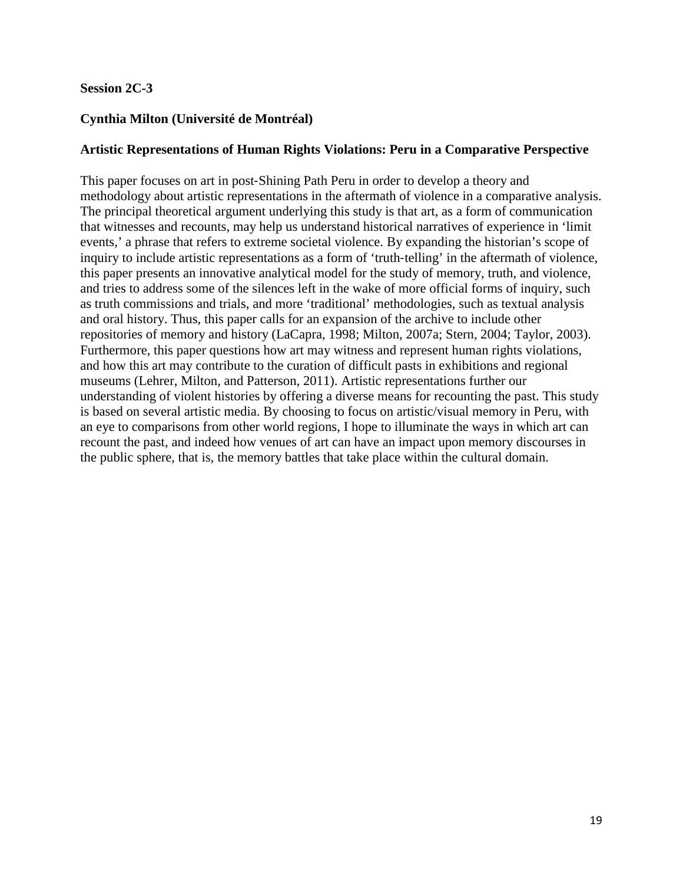## **Session 2C-3**

# **Cynthia Milton (Université de Montréal)**

#### **Artistic Representations of Human Rights Violations: Peru in a Comparative Perspective**

This paper focuses on art in post‐Shining Path Peru in order to develop a theory and methodology about artistic representations in the aftermath of violence in a comparative analysis. The principal theoretical argument underlying this study is that art, as a form of communication that witnesses and recounts, may help us understand historical narratives of experience in 'limit events,' a phrase that refers to extreme societal violence. By expanding the historian's scope of inquiry to include artistic representations as a form of 'truth-telling' in the aftermath of violence, this paper presents an innovative analytical model for the study of memory, truth, and violence, and tries to address some of the silences left in the wake of more official forms of inquiry, such as truth commissions and trials, and more 'traditional' methodologies, such as textual analysis and oral history. Thus, this paper calls for an expansion of the archive to include other repositories of memory and history (LaCapra, 1998; Milton, 2007a; Stern, 2004; Taylor, 2003). Furthermore, this paper questions how art may witness and represent human rights violations, and how this art may contribute to the curation of difficult pasts in exhibitions and regional museums (Lehrer, Milton, and Patterson, 2011). Artistic representations further our understanding of violent histories by offering a diverse means for recounting the past. This study is based on several artistic media. By choosing to focus on artistic/visual memory in Peru, with an eye to comparisons from other world regions, I hope to illuminate the ways in which art can recount the past, and indeed how venues of art can have an impact upon memory discourses in the public sphere, that is, the memory battles that take place within the cultural domain.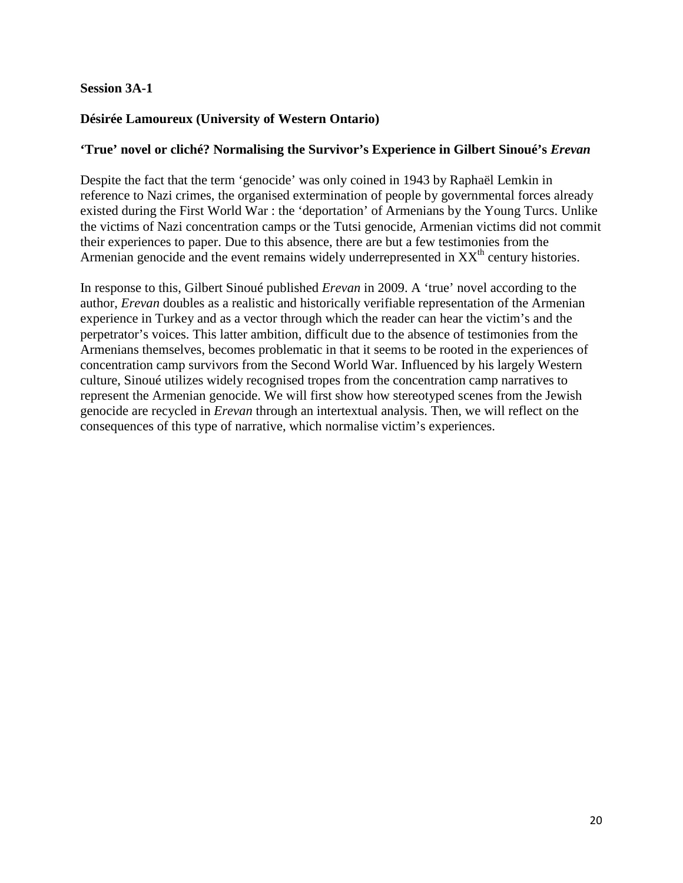## **Session 3A-1**

# **Désirée Lamoureux (University of Western Ontario)**

#### **'True' novel or cliché? Normalising the Survivor's Experience in Gilbert Sinoué's** *Erevan*

Despite the fact that the term 'genocide' was only coined in 1943 by Raphaël Lemkin in reference to Nazi crimes, the organised extermination of people by governmental forces already existed during the First World War : the 'deportation' of Armenians by the Young Turcs. Unlike the victims of Nazi concentration camps or the Tutsi genocide, Armenian victims did not commit their experiences to paper. Due to this absence, there are but a few testimonies from the Armenian genocide and the event remains widely underrepresented in  $XX<sup>th</sup>$  century histories.

In response to this, Gilbert Sinoué published *Erevan* in 2009. A 'true' novel according to the author, *Erevan* doubles as a realistic and historically verifiable representation of the Armenian experience in Turkey and as a vector through which the reader can hear the victim's and the perpetrator's voices. This latter ambition, difficult due to the absence of testimonies from the Armenians themselves, becomes problematic in that it seems to be rooted in the experiences of concentration camp survivors from the Second World War. Influenced by his largely Western culture, Sinoué utilizes widely recognised tropes from the concentration camp narratives to represent the Armenian genocide. We will first show how stereotyped scenes from the Jewish genocide are recycled in *Erevan* through an intertextual analysis. Then, we will reflect on the consequences of this type of narrative, which normalise victim's experiences.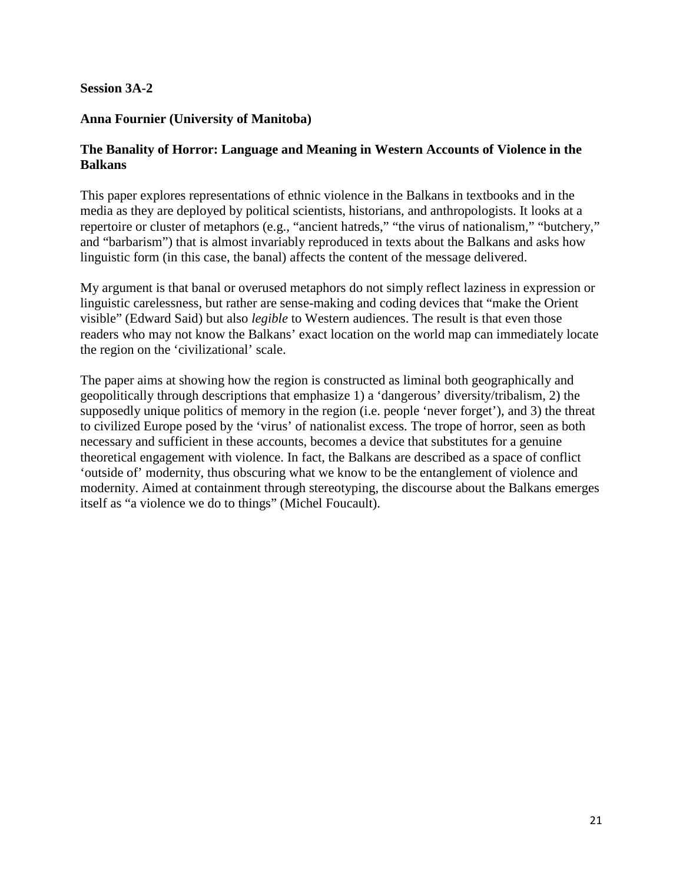## **Session 3A-2**

## **Anna Fournier (University of Manitoba)**

## **The Banality of Horror: Language and Meaning in Western Accounts of Violence in the Balkans**

This paper explores representations of ethnic violence in the Balkans in textbooks and in the media as they are deployed by political scientists, historians, and anthropologists. It looks at a repertoire or cluster of metaphors (e.g., "ancient hatreds," "the virus of nationalism," "butchery," and "barbarism") that is almost invariably reproduced in texts about the Balkans and asks how linguistic form (in this case, the banal) affects the content of the message delivered.

My argument is that banal or overused metaphors do not simply reflect laziness in expression or linguistic carelessness, but rather are sense-making and coding devices that "make the Orient visible" (Edward Said) but also *legible* to Western audiences. The result is that even those readers who may not know the Balkans' exact location on the world map can immediately locate the region on the 'civilizational' scale.

The paper aims at showing how the region is constructed as liminal both geographically and geopolitically through descriptions that emphasize 1) a 'dangerous' diversity/tribalism, 2) the supposedly unique politics of memory in the region (i.e. people 'never forget'), and 3) the threat to civilized Europe posed by the 'virus' of nationalist excess. The trope of horror, seen as both necessary and sufficient in these accounts, becomes a device that substitutes for a genuine theoretical engagement with violence. In fact, the Balkans are described as a space of conflict 'outside of' modernity, thus obscuring what we know to be the entanglement of violence and modernity. Aimed at containment through stereotyping, the discourse about the Balkans emerges itself as "a violence we do to things" (Michel Foucault).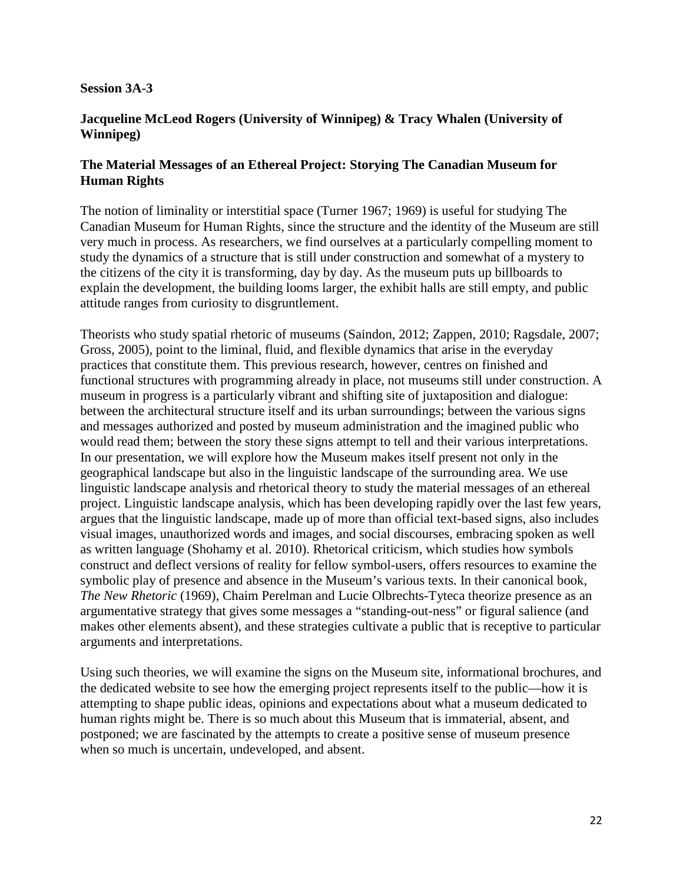#### **Session 3A-3**

## **Jacqueline McLeod Rogers (University of Winnipeg) & Tracy Whalen (University of Winnipeg)**

## **The Material Messages of an Ethereal Project: Storying The Canadian Museum for Human Rights**

The notion of liminality or interstitial space (Turner 1967; 1969) is useful for studying The Canadian Museum for Human Rights, since the structure and the identity of the Museum are still very much in process. As researchers, we find ourselves at a particularly compelling moment to study the dynamics of a structure that is still under construction and somewhat of a mystery to the citizens of the city it is transforming, day by day. As the museum puts up billboards to explain the development, the building looms larger, the exhibit halls are still empty, and public attitude ranges from curiosity to disgruntlement.

Theorists who study spatial rhetoric of museums (Saindon, 2012; Zappen, 2010; Ragsdale, 2007; Gross, 2005), point to the liminal, fluid, and flexible dynamics that arise in the everyday practices that constitute them. This previous research, however, centres on finished and functional structures with programming already in place, not museums still under construction. A museum in progress is a particularly vibrant and shifting site of juxtaposition and dialogue: between the architectural structure itself and its urban surroundings; between the various signs and messages authorized and posted by museum administration and the imagined public who would read them; between the story these signs attempt to tell and their various interpretations. In our presentation, we will explore how the Museum makes itself present not only in the geographical landscape but also in the linguistic landscape of the surrounding area. We use linguistic landscape analysis and rhetorical theory to study the material messages of an ethereal project. Linguistic landscape analysis, which has been developing rapidly over the last few years, argues that the linguistic landscape, made up of more than official text-based signs, also includes visual images, unauthorized words and images, and social discourses, embracing spoken as well as written language (Shohamy et al. 2010). Rhetorical criticism, which studies how symbols construct and deflect versions of reality for fellow symbol-users, offers resources to examine the symbolic play of presence and absence in the Museum's various texts. In their canonical book, *The New Rhetoric* (1969), Chaim Perelman and Lucie Olbrechts-Tyteca theorize presence as an argumentative strategy that gives some messages a "standing-out-ness" or figural salience (and makes other elements absent), and these strategies cultivate a public that is receptive to particular arguments and interpretations.

Using such theories, we will examine the signs on the Museum site, informational brochures, and the dedicated website to see how the emerging project represents itself to the public—how it is attempting to shape public ideas, opinions and expectations about what a museum dedicated to human rights might be. There is so much about this Museum that is immaterial, absent, and postponed; we are fascinated by the attempts to create a positive sense of museum presence when so much is uncertain, undeveloped, and absent.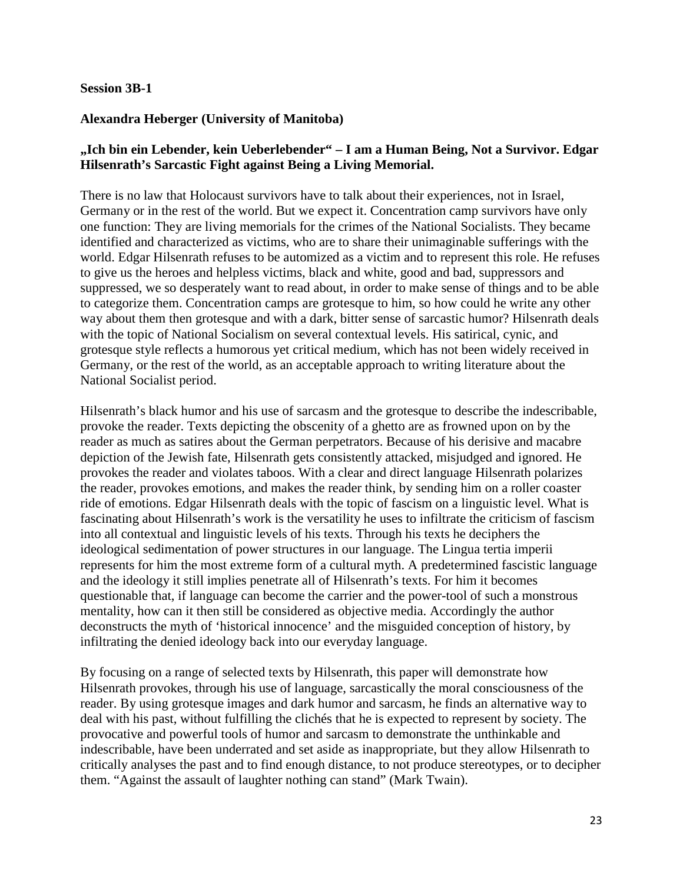#### **Session 3B-1**

## **Alexandra Heberger (University of Manitoba)**

# **"Ich bin ein Lebender, kein Ueberlebender" – I am a Human Being, Not a Survivor. Edgar Hilsenrath's Sarcastic Fight against Being a Living Memorial.**

There is no law that Holocaust survivors have to talk about their experiences, not in Israel, Germany or in the rest of the world. But we expect it. Concentration camp survivors have only one function: They are living memorials for the crimes of the National Socialists. They became identified and characterized as victims, who are to share their unimaginable sufferings with the world. Edgar Hilsenrath refuses to be automized as a victim and to represent this role. He refuses to give us the heroes and helpless victims, black and white, good and bad, suppressors and suppressed, we so desperately want to read about, in order to make sense of things and to be able to categorize them. Concentration camps are grotesque to him, so how could he write any other way about them then grotesque and with a dark, bitter sense of sarcastic humor? Hilsenrath deals with the topic of National Socialism on several contextual levels. His satirical, cynic, and grotesque style reflects a humorous yet critical medium, which has not been widely received in Germany, or the rest of the world, as an acceptable approach to writing literature about the National Socialist period.

Hilsenrath's black humor and his use of sarcasm and the grotesque to describe the indescribable, provoke the reader. Texts depicting the obscenity of a ghetto are as frowned upon on by the reader as much as satires about the German perpetrators. Because of his derisive and macabre depiction of the Jewish fate, Hilsenrath gets consistently attacked, misjudged and ignored. He provokes the reader and violates taboos. With a clear and direct language Hilsenrath polarizes the reader, provokes emotions, and makes the reader think, by sending him on a roller coaster ride of emotions. Edgar Hilsenrath deals with the topic of fascism on a linguistic level. What is fascinating about Hilsenrath's work is the versatility he uses to infiltrate the criticism of fascism into all contextual and linguistic levels of his texts. Through his texts he deciphers the ideological sedimentation of power structures in our language. The Lingua tertia imperii represents for him the most extreme form of a cultural myth. A predetermined fascistic language and the ideology it still implies penetrate all of Hilsenrath's texts. For him it becomes questionable that, if language can become the carrier and the power-tool of such a monstrous mentality, how can it then still be considered as objective media. Accordingly the author deconstructs the myth of 'historical innocence' and the misguided conception of history, by infiltrating the denied ideology back into our everyday language.

By focusing on a range of selected texts by Hilsenrath, this paper will demonstrate how Hilsenrath provokes, through his use of language, sarcastically the moral consciousness of the reader. By using grotesque images and dark humor and sarcasm, he finds an alternative way to deal with his past, without fulfilling the clichés that he is expected to represent by society. The provocative and powerful tools of humor and sarcasm to demonstrate the unthinkable and indescribable, have been underrated and set aside as inappropriate, but they allow Hilsenrath to critically analyses the past and to find enough distance, to not produce stereotypes, or to decipher them. "Against the assault of laughter nothing can stand" (Mark Twain).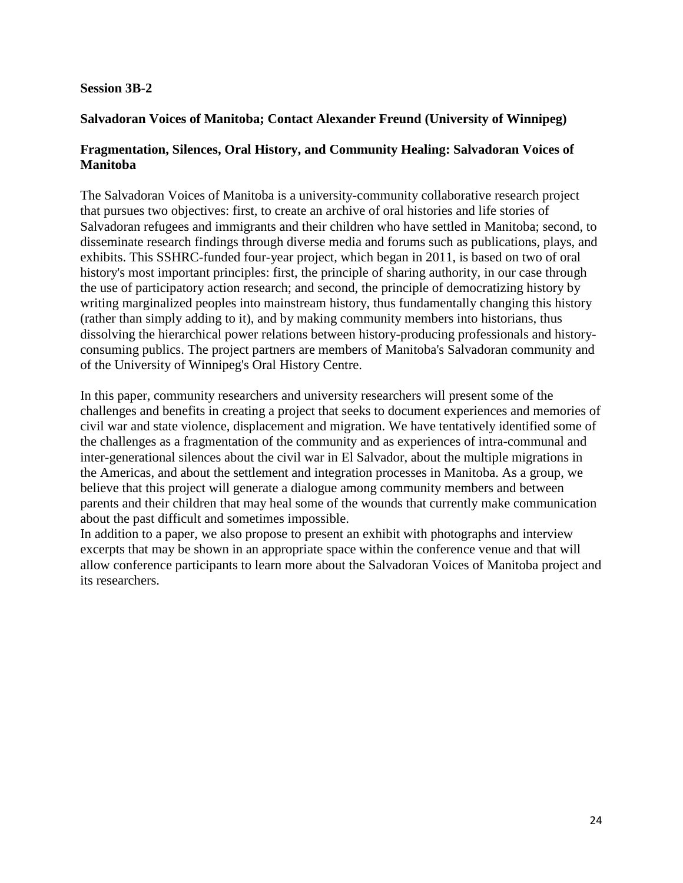#### **Session 3B-2**

# **Salvadoran Voices of Manitoba; Contact Alexander Freund (University of Winnipeg)**

# **Fragmentation, Silences, Oral History, and Community Healing: Salvadoran Voices of Manitoba**

The Salvadoran Voices of Manitoba is a university-community collaborative research project that pursues two objectives: first, to create an archive of oral histories and life stories of Salvadoran refugees and immigrants and their children who have settled in Manitoba; second, to disseminate research findings through diverse media and forums such as publications, plays, and exhibits. This SSHRC-funded four-year project, which began in 2011, is based on two of oral history's most important principles: first, the principle of sharing authority, in our case through the use of participatory action research; and second, the principle of democratizing history by writing marginalized peoples into mainstream history, thus fundamentally changing this history (rather than simply adding to it), and by making community members into historians, thus dissolving the hierarchical power relations between history-producing professionals and historyconsuming publics. The project partners are members of Manitoba's Salvadoran community and of the University of Winnipeg's Oral History Centre.

In this paper, community researchers and university researchers will present some of the challenges and benefits in creating a project that seeks to document experiences and memories of civil war and state violence, displacement and migration. We have tentatively identified some of the challenges as a fragmentation of the community and as experiences of intra-communal and inter-generational silences about the civil war in El Salvador, about the multiple migrations in the Americas, and about the settlement and integration processes in Manitoba. As a group, we believe that this project will generate a dialogue among community members and between parents and their children that may heal some of the wounds that currently make communication about the past difficult and sometimes impossible.

In addition to a paper, we also propose to present an exhibit with photographs and interview excerpts that may be shown in an appropriate space within the conference venue and that will allow conference participants to learn more about the Salvadoran Voices of Manitoba project and its researchers.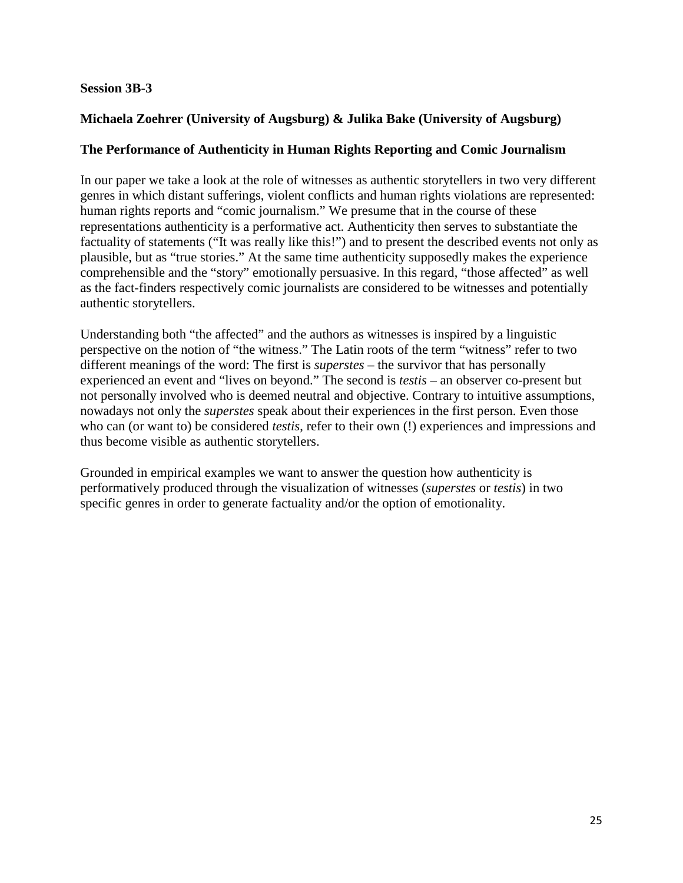## **Session 3B-3**

# **Michaela Zoehrer (University of Augsburg) & Julika Bake (University of Augsburg)**

# **The Performance of Authenticity in Human Rights Reporting and Comic Journalism**

In our paper we take a look at the role of witnesses as authentic storytellers in two very different genres in which distant sufferings, violent conflicts and human rights violations are represented: human rights reports and "comic journalism." We presume that in the course of these representations authenticity is a performative act. Authenticity then serves to substantiate the factuality of statements ("It was really like this!") and to present the described events not only as plausible, but as "true stories." At the same time authenticity supposedly makes the experience comprehensible and the "story" emotionally persuasive. In this regard, "those affected" as well as the fact-finders respectively comic journalists are considered to be witnesses and potentially authentic storytellers.

Understanding both "the affected" and the authors as witnesses is inspired by a linguistic perspective on the notion of "the witness." The Latin roots of the term "witness" refer to two different meanings of the word: The first is *superstes* – the survivor that has personally experienced an event and "lives on beyond." The second is *testis* – an observer co-present but not personally involved who is deemed neutral and objective. Contrary to intuitive assumptions, nowadays not only the *superstes* speak about their experiences in the first person. Even those who can (or want to) be considered *testis*, refer to their own (!) experiences and impressions and thus become visible as authentic storytellers.

Grounded in empirical examples we want to answer the question how authenticity is performatively produced through the visualization of witnesses (*superstes* or *testis*) in two specific genres in order to generate factuality and/or the option of emotionality.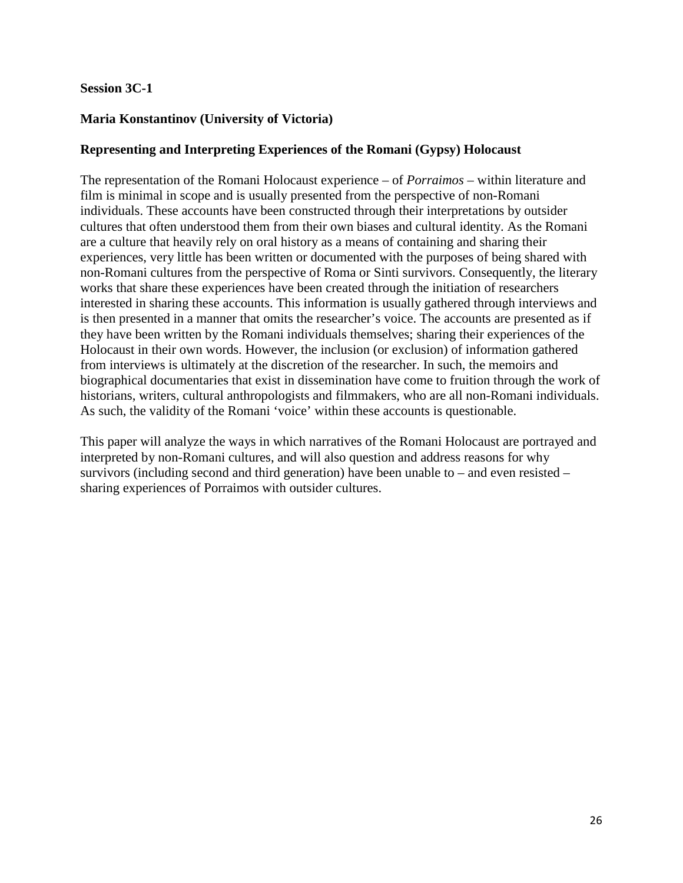## **Session 3C-1**

## **Maria Konstantinov (University of Victoria)**

#### **Representing and Interpreting Experiences of the Romani (Gypsy) Holocaust**

The representation of the Romani Holocaust experience – of *Porraimos* – within literature and film is minimal in scope and is usually presented from the perspective of non-Romani individuals. These accounts have been constructed through their interpretations by outsider cultures that often understood them from their own biases and cultural identity. As the Romani are a culture that heavily rely on oral history as a means of containing and sharing their experiences, very little has been written or documented with the purposes of being shared with non-Romani cultures from the perspective of Roma or Sinti survivors. Consequently, the literary works that share these experiences have been created through the initiation of researchers interested in sharing these accounts. This information is usually gathered through interviews and is then presented in a manner that omits the researcher's voice. The accounts are presented as if they have been written by the Romani individuals themselves; sharing their experiences of the Holocaust in their own words. However, the inclusion (or exclusion) of information gathered from interviews is ultimately at the discretion of the researcher. In such, the memoirs and biographical documentaries that exist in dissemination have come to fruition through the work of historians, writers, cultural anthropologists and filmmakers, who are all non-Romani individuals. As such, the validity of the Romani 'voice' within these accounts is questionable.

This paper will analyze the ways in which narratives of the Romani Holocaust are portrayed and interpreted by non-Romani cultures, and will also question and address reasons for why survivors (including second and third generation) have been unable to – and even resisted – sharing experiences of Porraimos with outsider cultures.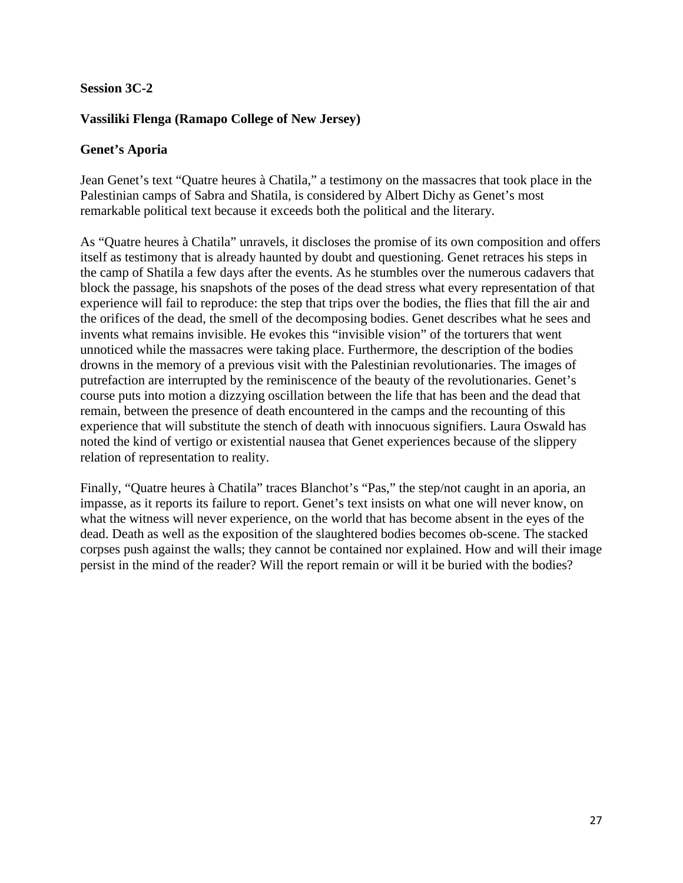## **Session 3C-2**

# **Vassiliki Flenga (Ramapo College of New Jersey)**

#### **Genet's Aporia**

Jean Genet's text "Quatre heures à Chatila," a testimony on the massacres that took place in the Palestinian camps of Sabra and Shatila, is considered by Albert Dichy as Genet's most remarkable political text because it exceeds both the political and the literary.

As "Quatre heures à Chatila" unravels, it discloses the promise of its own composition and offers itself as testimony that is already haunted by doubt and questioning. Genet retraces his steps in the camp of Shatila a few days after the events. As he stumbles over the numerous cadavers that block the passage, his snapshots of the poses of the dead stress what every representation of that experience will fail to reproduce: the step that trips over the bodies, the flies that fill the air and the orifices of the dead, the smell of the decomposing bodies. Genet describes what he sees and invents what remains invisible. He evokes this "invisible vision" of the torturers that went unnoticed while the massacres were taking place. Furthermore, the description of the bodies drowns in the memory of a previous visit with the Palestinian revolutionaries. The images of putrefaction are interrupted by the reminiscence of the beauty of the revolutionaries. Genet's course puts into motion a dizzying oscillation between the life that has been and the dead that remain, between the presence of death encountered in the camps and the recounting of this experience that will substitute the stench of death with innocuous signifiers. Laura Oswald has noted the kind of vertigo or existential nausea that Genet experiences because of the slippery relation of representation to reality.

Finally, "Quatre heures à Chatila" traces Blanchot's "Pas," the step/not caught in an aporia, an impasse, as it reports its failure to report. Genet's text insists on what one will never know, on what the witness will never experience, on the world that has become absent in the eyes of the dead. Death as well as the exposition of the slaughtered bodies becomes ob-scene. The stacked corpses push against the walls; they cannot be contained nor explained. How and will their image persist in the mind of the reader? Will the report remain or will it be buried with the bodies?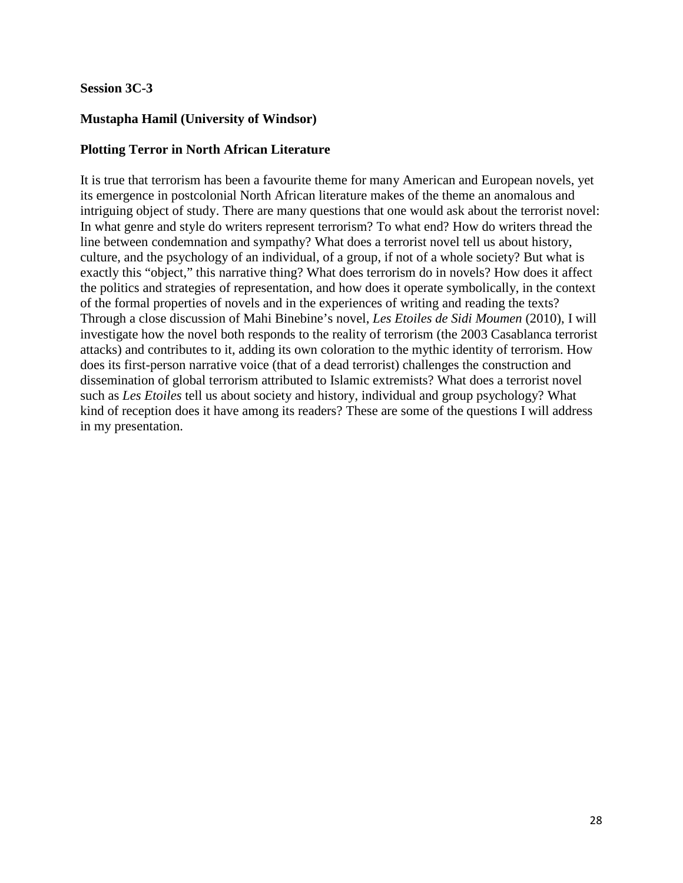## **Session 3C-3**

# **Mustapha Hamil (University of Windsor)**

# **Plotting Terror in North African Literature**

It is true that terrorism has been a favourite theme for many American and European novels, yet its emergence in postcolonial North African literature makes of the theme an anomalous and intriguing object of study. There are many questions that one would ask about the terrorist novel: In what genre and style do writers represent terrorism? To what end? How do writers thread the line between condemnation and sympathy? What does a terrorist novel tell us about history, culture, and the psychology of an individual, of a group, if not of a whole society? But what is exactly this "object," this narrative thing? What does terrorism do in novels? How does it affect the politics and strategies of representation, and how does it operate symbolically, in the context of the formal properties of novels and in the experiences of writing and reading the texts? Through a close discussion of Mahi Binebine's novel, *Les Etoiles de Sidi Moumen* (2010), I will investigate how the novel both responds to the reality of terrorism (the 2003 Casablanca terrorist attacks) and contributes to it, adding its own coloration to the mythic identity of terrorism. How does its first-person narrative voice (that of a dead terrorist) challenges the construction and dissemination of global terrorism attributed to Islamic extremists? What does a terrorist novel such as *Les Etoiles* tell us about society and history, individual and group psychology? What kind of reception does it have among its readers? These are some of the questions I will address in my presentation.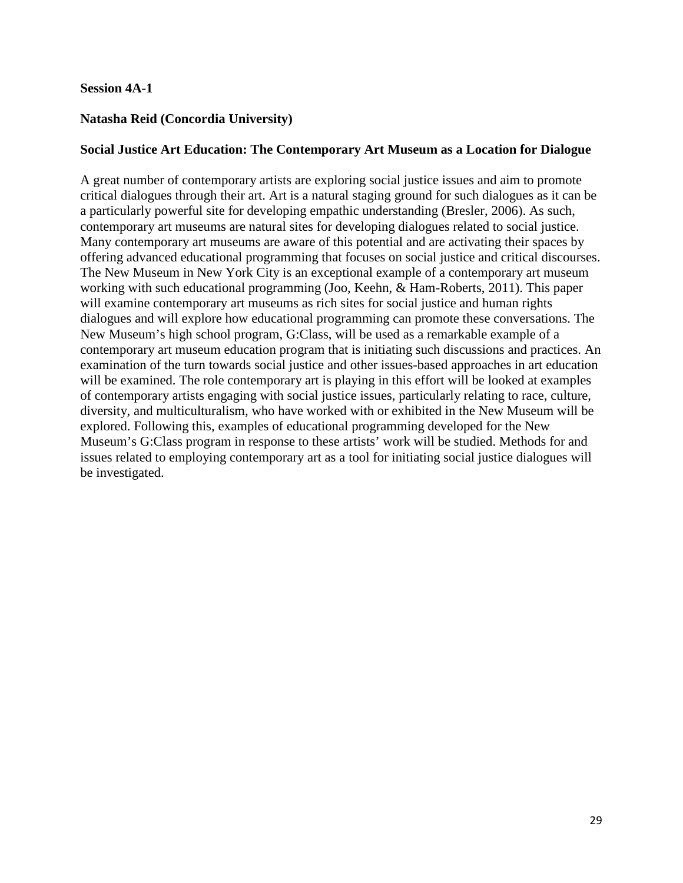#### **Session 4A-1**

# **Natasha Reid (Concordia University)**

#### **Social Justice Art Education: The Contemporary Art Museum as a Location for Dialogue**

A great number of contemporary artists are exploring social justice issues and aim to promote critical dialogues through their art. Art is a natural staging ground for such dialogues as it can be a particularly powerful site for developing empathic understanding (Bresler, 2006). As such, contemporary art museums are natural sites for developing dialogues related to social justice. Many contemporary art museums are aware of this potential and are activating their spaces by offering advanced educational programming that focuses on social justice and critical discourses. The New Museum in New York City is an exceptional example of a contemporary art museum working with such educational programming (Joo, Keehn, & Ham-Roberts, 2011). This paper will examine contemporary art museums as rich sites for social justice and human rights dialogues and will explore how educational programming can promote these conversations. The New Museum's high school program, G:Class, will be used as a remarkable example of a contemporary art museum education program that is initiating such discussions and practices. An examination of the turn towards social justice and other issues-based approaches in art education will be examined. The role contemporary art is playing in this effort will be looked at examples of contemporary artists engaging with social justice issues, particularly relating to race, culture, diversity, and multiculturalism, who have worked with or exhibited in the New Museum will be explored. Following this, examples of educational programming developed for the New Museum's G:Class program in response to these artists' work will be studied. Methods for and issues related to employing contemporary art as a tool for initiating social justice dialogues will be investigated.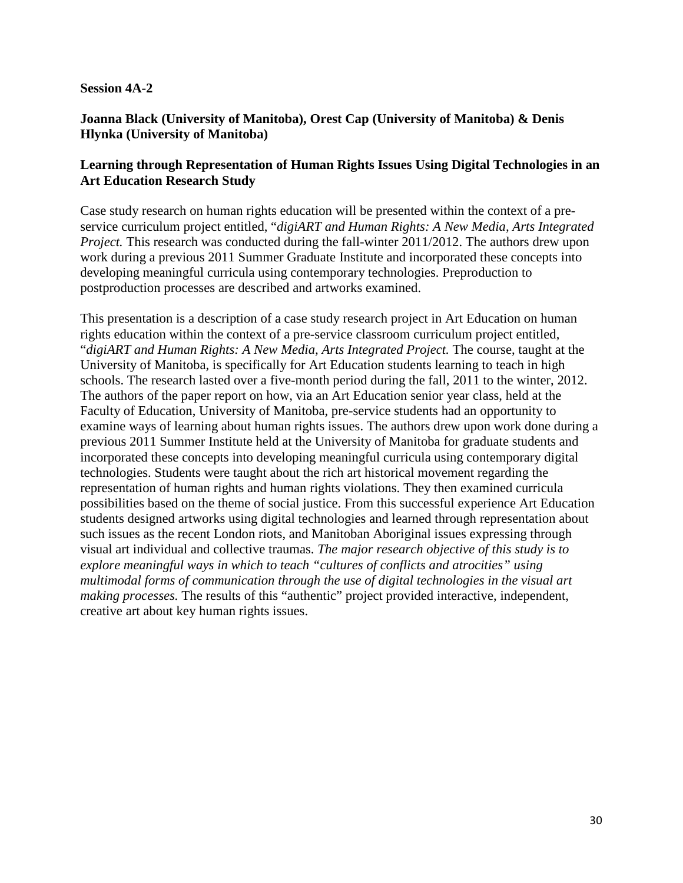#### **Session 4A-2**

## **Joanna Black (University of Manitoba), Orest Cap (University of Manitoba) & Denis Hlynka (University of Manitoba)**

## **Learning through Representation of Human Rights Issues Using Digital Technologies in an Art Education Research Study**

Case study research on human rights education will be presented within the context of a preservice curriculum project entitled, "*digiART and Human Rights: A New Media, Arts Integrated Project.* This research was conducted during the fall-winter 2011/2012. The authors drew upon work during a previous 2011 Summer Graduate Institute and incorporated these concepts into developing meaningful curricula using contemporary technologies. Preproduction to postproduction processes are described and artworks examined.

This presentation is a description of a case study research project in Art Education on human rights education within the context of a pre-service classroom curriculum project entitled, "digiART and Human Rights: A New Media, Arts Integrated Project. The course, taught at the University of Manitoba, is specifically for Art Education students learning to teach in high schools. The research lasted over a five-month period during the fall, 2011 to the winter, 2012. The authors of the paper report on how, via an Art Education senior year class, held at the Faculty of Education, University of Manitoba, pre-service students had an opportunity to examine ways of learning about human rights issues. The authors drew upon work done during a previous 2011 Summer Institute held at the University of Manitoba for graduate students and incorporated these concepts into developing meaningful curricula using contemporary digital technologies. Students were taught about the rich art historical movement regarding the representation of human rights and human rights violations. They then examined curricula possibilities based on the theme of social justice. From this successful experience Art Education students designed artworks using digital technologies and learned through representation about such issues as the recent London riots, and Manitoban Aboriginal issues expressing through visual art individual and collective traumas. *The major research objective of this study is to explore meaningful ways in which to teach "cultures of conflicts and atrocities" using multimodal forms of communication through the use of digital technologies in the visual art making processes.* The results of this "authentic" project provided interactive, independent, creative art about key human rights issues.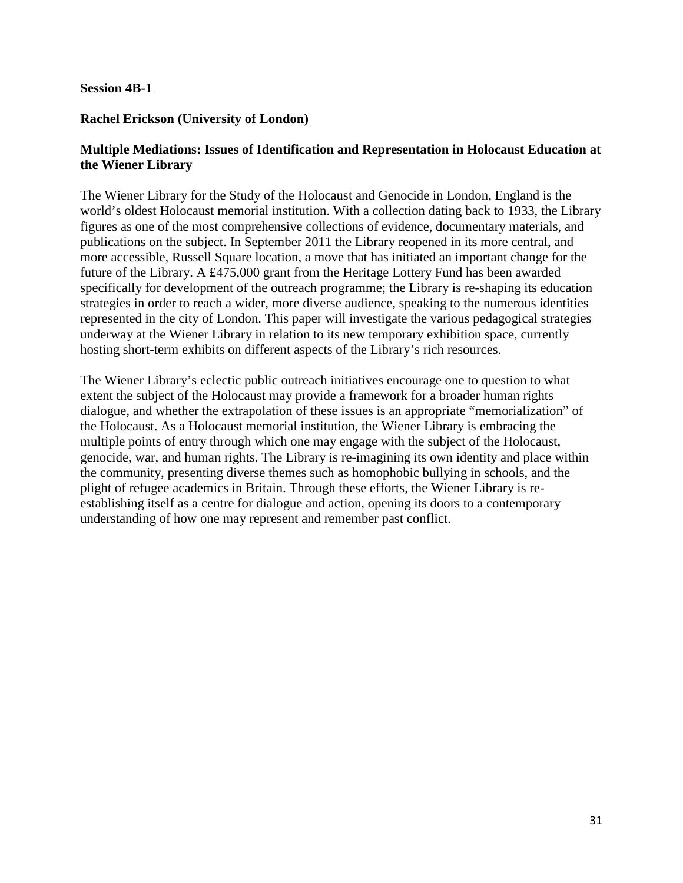#### **Session 4B-1**

#### **Rachel Erickson (University of London)**

# **Multiple Mediations: Issues of Identification and Representation in Holocaust Education at the Wiener Library**

The Wiener Library for the Study of the Holocaust and Genocide in London, England is the world's oldest Holocaust memorial institution. With a collection dating back to 1933, the Library figures as one of the most comprehensive collections of evidence, documentary materials, and publications on the subject. In September 2011 the Library reopened in its more central, and more accessible, Russell Square location, a move that has initiated an important change for the future of the Library. A £475,000 grant from the Heritage Lottery Fund has been awarded specifically for development of the outreach programme; the Library is re-shaping its education strategies in order to reach a wider, more diverse audience, speaking to the numerous identities represented in the city of London. This paper will investigate the various pedagogical strategies underway at the Wiener Library in relation to its new temporary exhibition space, currently hosting short-term exhibits on different aspects of the Library's rich resources.

The Wiener Library's eclectic public outreach initiatives encourage one to question to what extent the subject of the Holocaust may provide a framework for a broader human rights dialogue, and whether the extrapolation of these issues is an appropriate "memorialization" of the Holocaust. As a Holocaust memorial institution, the Wiener Library is embracing the multiple points of entry through which one may engage with the subject of the Holocaust, genocide, war, and human rights. The Library is re-imagining its own identity and place within the community, presenting diverse themes such as homophobic bullying in schools, and the plight of refugee academics in Britain. Through these efforts, the Wiener Library is reestablishing itself as a centre for dialogue and action, opening its doors to a contemporary understanding of how one may represent and remember past conflict.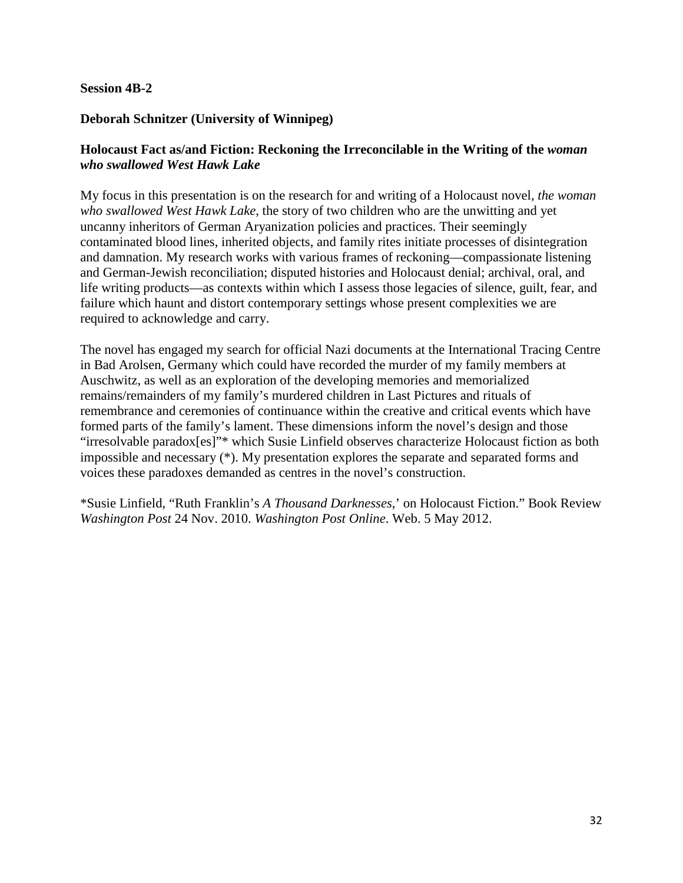#### **Session 4B-2**

# **Deborah Schnitzer (University of Winnipeg)**

# **Holocaust Fact as/and Fiction: Reckoning the Irreconcilable in the Writing of the** *woman who swallowed West Hawk Lake*

My focus in this presentation is on the research for and writing of a Holocaust novel, *the woman who swallowed West Hawk Lake*, the story of two children who are the unwitting and yet uncanny inheritors of German Aryanization policies and practices. Their seemingly contaminated blood lines, inherited objects, and family rites initiate processes of disintegration and damnation. My research works with various frames of reckoning—compassionate listening and German-Jewish reconciliation; disputed histories and Holocaust denial; archival, oral, and life writing products—as contexts within which I assess those legacies of silence, guilt, fear, and failure which haunt and distort contemporary settings whose present complexities we are required to acknowledge and carry.

The novel has engaged my search for official Nazi documents at the International Tracing Centre in Bad Arolsen, Germany which could have recorded the murder of my family members at Auschwitz, as well as an exploration of the developing memories and memorialized remains/remainders of my family's murdered children in Last Pictures and rituals of remembrance and ceremonies of continuance within the creative and critical events which have formed parts of the family's lament. These dimensions inform the novel's design and those "irresolvable paradox[es]"\* which Susie Linfield observes characterize Holocaust fiction as both impossible and necessary (\*). My presentation explores the separate and separated forms and voices these paradoxes demanded as centres in the novel's construction.

\*Susie Linfield, "Ruth Franklin's *A Thousand Darknesses*,' on Holocaust Fiction." Book Review *Washington Post* 24 Nov. 2010. *Washington Post Online*. Web. 5 May 2012.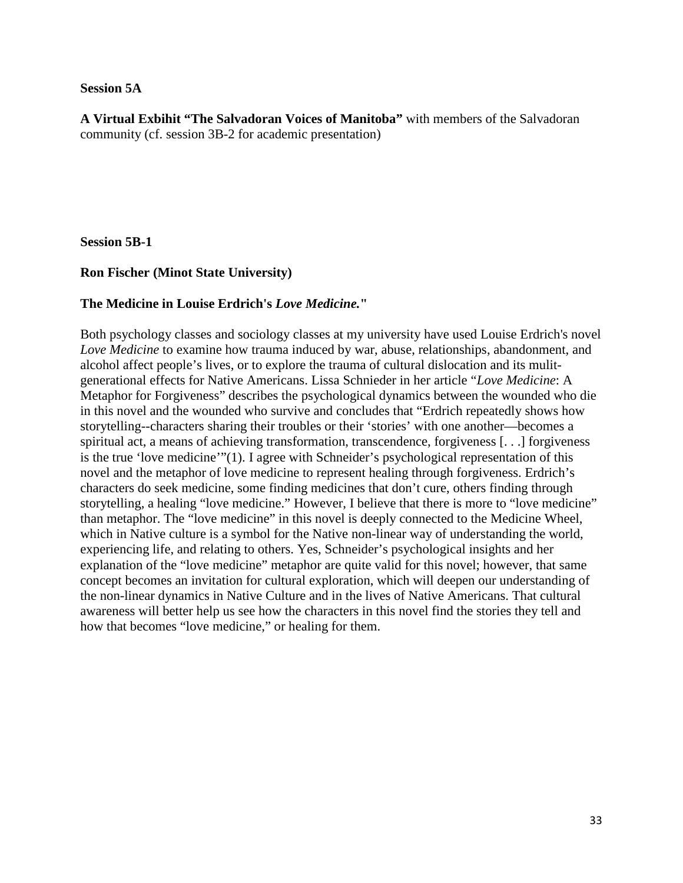#### **Session 5A**

**A Virtual Exbihit "The Salvadoran Voices of Manitoba"** with members of the Salvadoran community (cf. session 3B-2 for academic presentation)

**Session 5B-1**

## **Ron Fischer (Minot State University)**

## **The Medicine in Louise Erdrich's** *Love Medicine.***"**

Both psychology classes and sociology classes at my university have used Louise Erdrich's novel *Love Medicine* to examine how trauma induced by war, abuse, relationships, abandonment, and alcohol affect people's lives, or to explore the trauma of cultural dislocation and its mulitgenerational effects for Native Americans. Lissa Schnieder in her article "*Love Medicine*: A Metaphor for Forgiveness" describes the psychological dynamics between the wounded who die in this novel and the wounded who survive and concludes that "Erdrich repeatedly shows how storytelling--characters sharing their troubles or their 'stories' with one another—becomes a spiritual act, a means of achieving transformation, transcendence, forgiveness [. . .] forgiveness is the true 'love medicine'"(1). I agree with Schneider's psychological representation of this novel and the metaphor of love medicine to represent healing through forgiveness. Erdrich's characters do seek medicine, some finding medicines that don't cure, others finding through storytelling, a healing "love medicine." However, I believe that there is more to "love medicine" than metaphor. The "love medicine" in this novel is deeply connected to the Medicine Wheel, which in Native culture is a symbol for the Native non-linear way of understanding the world, experiencing life, and relating to others. Yes, Schneider's psychological insights and her explanation of the "love medicine" metaphor are quite valid for this novel; however, that same concept becomes an invitation for cultural exploration, which will deepen our understanding of the non-linear dynamics in Native Culture and in the lives of Native Americans. That cultural awareness will better help us see how the characters in this novel find the stories they tell and how that becomes "love medicine," or healing for them.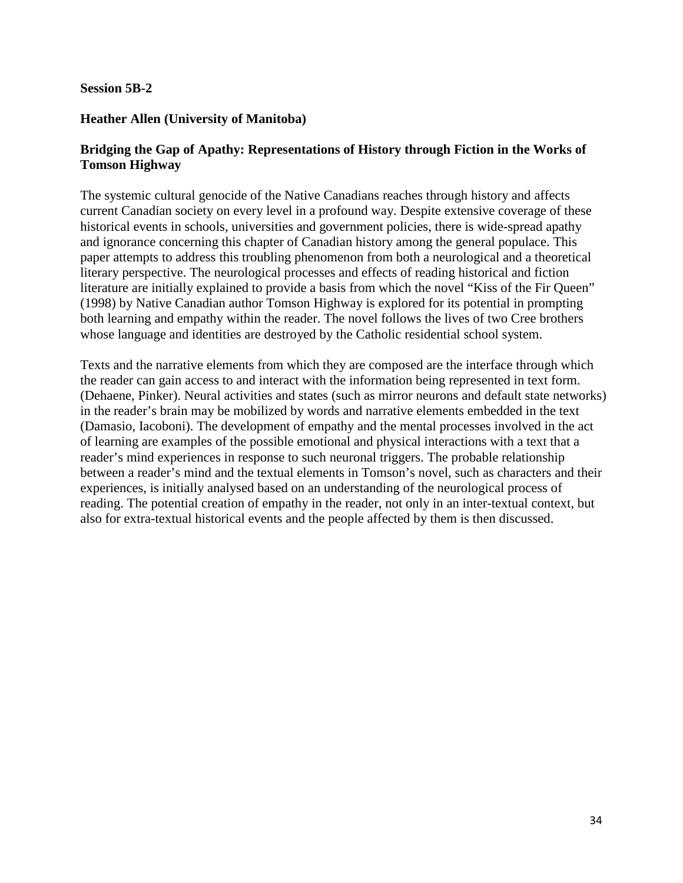#### **Session 5B-2**

#### **Heather Allen (University of Manitoba)**

# **Bridging the Gap of Apathy: Representations of History through Fiction in the Works of Tomson Highway**

The systemic cultural genocide of the Native Canadians reaches through history and affects current Canadian society on every level in a profound way. Despite extensive coverage of these historical events in schools, universities and government policies, there is wide-spread apathy and ignorance concerning this chapter of Canadian history among the general populace. This paper attempts to address this troubling phenomenon from both a neurological and a theoretical literary perspective. The neurological processes and effects of reading historical and fiction literature are initially explained to provide a basis from which the novel "Kiss of the Fir Queen" (1998) by Native Canadian author Tomson Highway is explored for its potential in prompting both learning and empathy within the reader. The novel follows the lives of two Cree brothers whose language and identities are destroyed by the Catholic residential school system.

Texts and the narrative elements from which they are composed are the interface through which the reader can gain access to and interact with the information being represented in text form. (Dehaene, Pinker). Neural activities and states (such as mirror neurons and default state networks) in the reader's brain may be mobilized by words and narrative elements embedded in the text (Damasio, Iacoboni). The development of empathy and the mental processes involved in the act of learning are examples of the possible emotional and physical interactions with a text that a reader's mind experiences in response to such neuronal triggers. The probable relationship between a reader's mind and the textual elements in Tomson's novel, such as characters and their experiences, is initially analysed based on an understanding of the neurological process of reading. The potential creation of empathy in the reader, not only in an inter-textual context, but also for extra-textual historical events and the people affected by them is then discussed.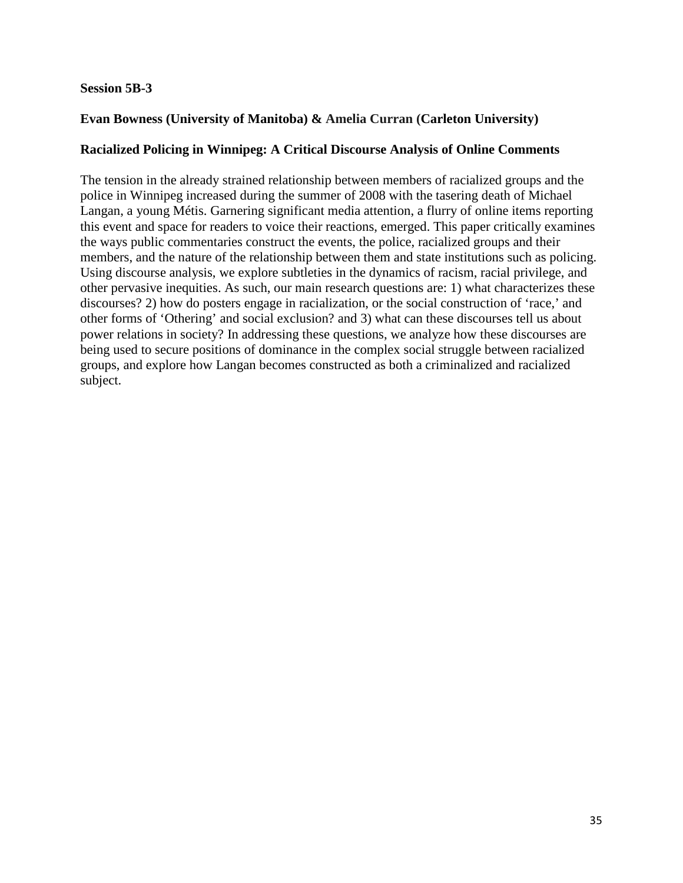#### **Session 5B-3**

# **Evan Bowness (University of Manitoba) & Amelia Curran (Carleton University)**

## **Racialized Policing in Winnipeg: A Critical Discourse Analysis of Online Comments**

The tension in the already strained relationship between members of racialized groups and the police in Winnipeg increased during the summer of 2008 with the tasering death of Michael Langan, a young Métis. Garnering significant media attention, a flurry of online items reporting this event and space for readers to voice their reactions, emerged. This paper critically examines the ways public commentaries construct the events, the police, racialized groups and their members, and the nature of the relationship between them and state institutions such as policing. Using discourse analysis, we explore subtleties in the dynamics of racism, racial privilege, and other pervasive inequities. As such, our main research questions are: 1) what characterizes these discourses? 2) how do posters engage in racialization, or the social construction of 'race,' and other forms of 'Othering' and social exclusion? and 3) what can these discourses tell us about power relations in society? In addressing these questions, we analyze how these discourses are being used to secure positions of dominance in the complex social struggle between racialized groups, and explore how Langan becomes constructed as both a criminalized and racialized subject.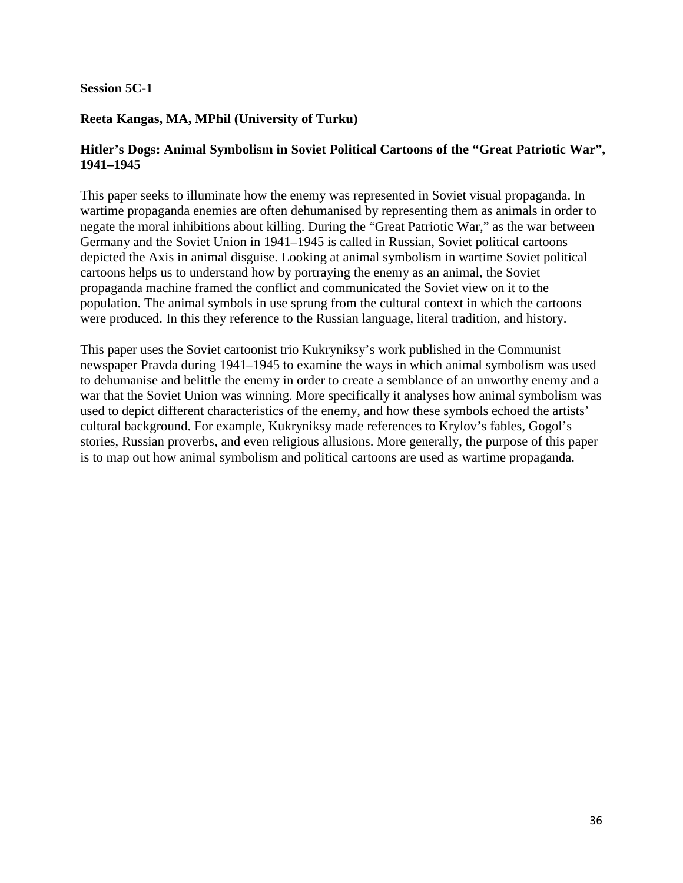## **Session 5C-1**

# **Reeta Kangas, MA, MPhil (University of Turku)**

# **Hitler's Dogs: Animal Symbolism in Soviet Political Cartoons of the "Great Patriotic War", 1941–1945**

This paper seeks to illuminate how the enemy was represented in Soviet visual propaganda. In wartime propaganda enemies are often dehumanised by representing them as animals in order to negate the moral inhibitions about killing. During the "Great Patriotic War," as the war between Germany and the Soviet Union in 1941–1945 is called in Russian, Soviet political cartoons depicted the Axis in animal disguise. Looking at animal symbolism in wartime Soviet political cartoons helps us to understand how by portraying the enemy as an animal, the Soviet propaganda machine framed the conflict and communicated the Soviet view on it to the population. The animal symbols in use sprung from the cultural context in which the cartoons were produced. In this they reference to the Russian language, literal tradition, and history.

This paper uses the Soviet cartoonist trio Kukryniksy's work published in the Communist newspaper Pravda during 1941–1945 to examine the ways in which animal symbolism was used to dehumanise and belittle the enemy in order to create a semblance of an unworthy enemy and a war that the Soviet Union was winning. More specifically it analyses how animal symbolism was used to depict different characteristics of the enemy, and how these symbols echoed the artists' cultural background. For example, Kukryniksy made references to Krylov's fables, Gogol's stories, Russian proverbs, and even religious allusions. More generally, the purpose of this paper is to map out how animal symbolism and political cartoons are used as wartime propaganda.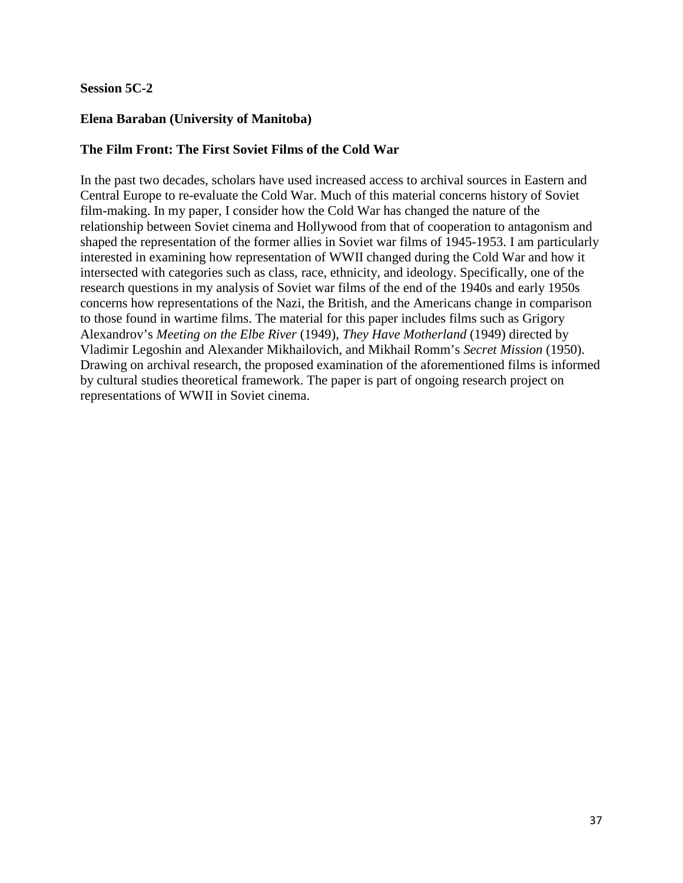## **Session 5C-2**

## **Elena Baraban (University of Manitoba)**

# **The Film Front: The First Soviet Films of the Cold War**

In the past two decades, scholars have used increased access to archival sources in Eastern and Central Europe to re-evaluate the Cold War. Much of this material concerns history of Soviet film-making. In my paper, I consider how the Cold War has changed the nature of the relationship between Soviet cinema and Hollywood from that of cooperation to antagonism and shaped the representation of the former allies in Soviet war films of 1945-1953. I am particularly interested in examining how representation of WWII changed during the Cold War and how it intersected with categories such as class, race, ethnicity, and ideology. Specifically, one of the research questions in my analysis of Soviet war films of the end of the 1940s and early 1950s concerns how representations of the Nazi, the British, and the Americans change in comparison to those found in wartime films. The material for this paper includes films such as Grigory Alexandrov's *Meeting on the Elbe River* (1949), *They Have Motherland* (1949) directed by Vladimir Legoshin and Alexander Mikhailovich, and Mikhail Romm's *Secret Mission* (1950). Drawing on archival research, the proposed examination of the aforementioned films is informed by cultural studies theoretical framework. The paper is part of ongoing research project on representations of WWII in Soviet cinema.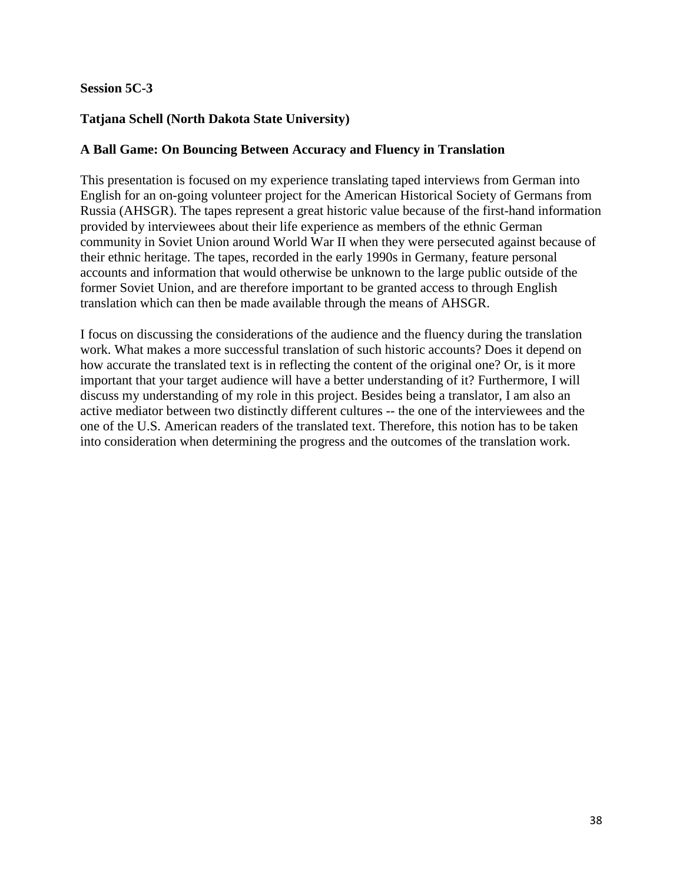## **Session 5C-3**

# **Tatjana Schell (North Dakota State University)**

#### **A Ball Game: On Bouncing Between Accuracy and Fluency in Translation**

This presentation is focused on my experience translating taped interviews from German into English for an on-going volunteer project for the American Historical Society of Germans from Russia (AHSGR). The tapes represent a great historic value because of the first-hand information provided by interviewees about their life experience as members of the ethnic German community in Soviet Union around World War II when they were persecuted against because of their ethnic heritage. The tapes, recorded in the early 1990s in Germany, feature personal accounts and information that would otherwise be unknown to the large public outside of the former Soviet Union, and are therefore important to be granted access to through English translation which can then be made available through the means of AHSGR.

I focus on discussing the considerations of the audience and the fluency during the translation work. What makes a more successful translation of such historic accounts? Does it depend on how accurate the translated text is in reflecting the content of the original one? Or, is it more important that your target audience will have a better understanding of it? Furthermore, I will discuss my understanding of my role in this project. Besides being a translator, I am also an active mediator between two distinctly different cultures -- the one of the interviewees and the one of the U.S. American readers of the translated text. Therefore, this notion has to be taken into consideration when determining the progress and the outcomes of the translation work.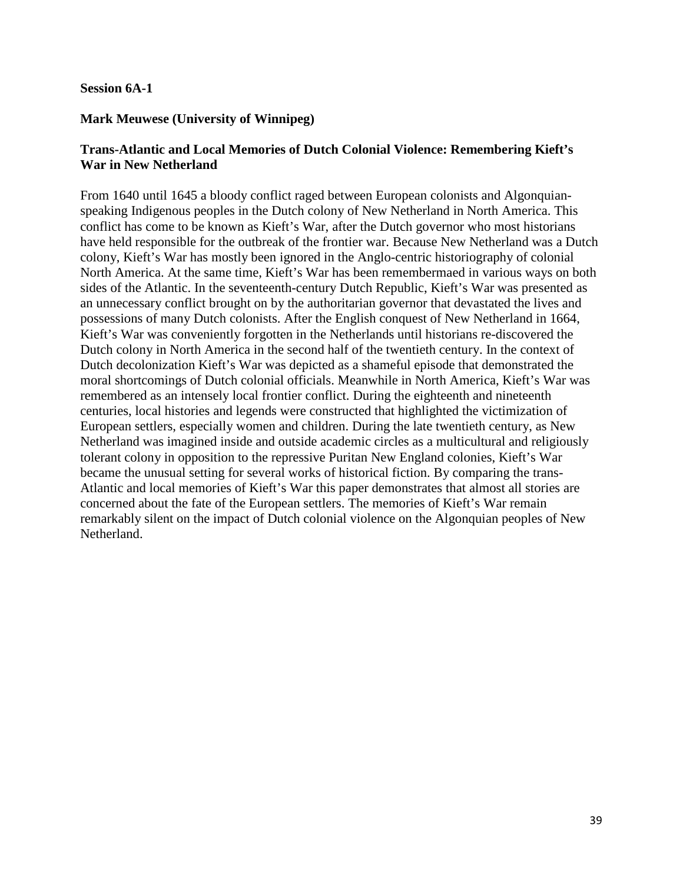#### **Session 6A-1**

# **Mark Meuwese (University of Winnipeg)**

# **Trans-Atlantic and Local Memories of Dutch Colonial Violence: Remembering Kieft's War in New Netherland**

From 1640 until 1645 a bloody conflict raged between European colonists and Algonquianspeaking Indigenous peoples in the Dutch colony of New Netherland in North America. This conflict has come to be known as Kieft's War, after the Dutch governor who most historians have held responsible for the outbreak of the frontier war. Because New Netherland was a Dutch colony, Kieft's War has mostly been ignored in the Anglo-centric historiography of colonial North America. At the same time, Kieft's War has been remembermaed in various ways on both sides of the Atlantic. In the seventeenth-century Dutch Republic, Kieft's War was presented as an unnecessary conflict brought on by the authoritarian governor that devastated the lives and possessions of many Dutch colonists. After the English conquest of New Netherland in 1664, Kieft's War was conveniently forgotten in the Netherlands until historians re-discovered the Dutch colony in North America in the second half of the twentieth century. In the context of Dutch decolonization Kieft's War was depicted as a shameful episode that demonstrated the moral shortcomings of Dutch colonial officials. Meanwhile in North America, Kieft's War was remembered as an intensely local frontier conflict. During the eighteenth and nineteenth centuries, local histories and legends were constructed that highlighted the victimization of European settlers, especially women and children. During the late twentieth century, as New Netherland was imagined inside and outside academic circles as a multicultural and religiously tolerant colony in opposition to the repressive Puritan New England colonies, Kieft's War became the unusual setting for several works of historical fiction. By comparing the trans-Atlantic and local memories of Kieft's War this paper demonstrates that almost all stories are concerned about the fate of the European settlers. The memories of Kieft's War remain remarkably silent on the impact of Dutch colonial violence on the Algonquian peoples of New Netherland.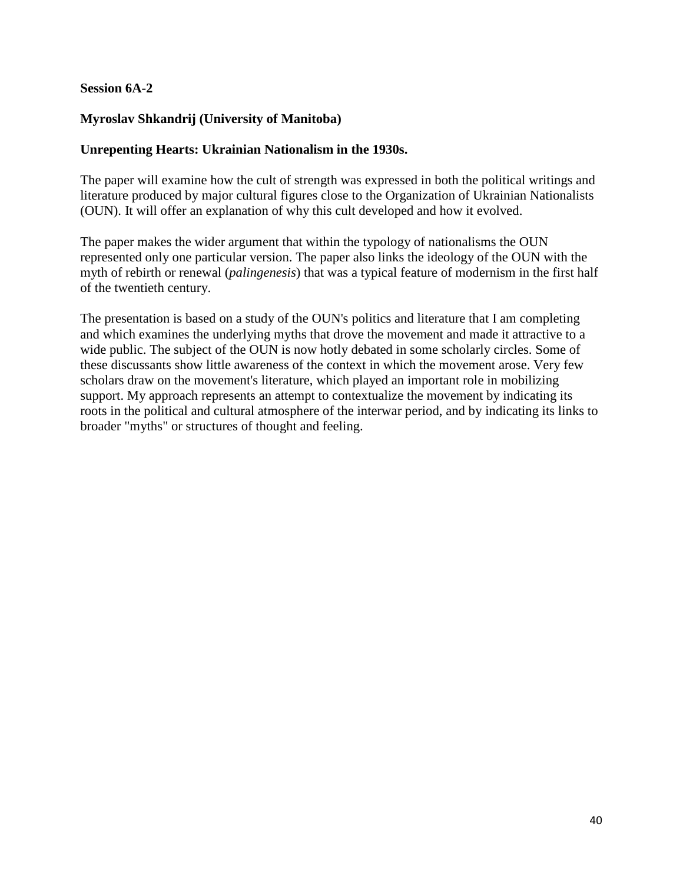## **Session 6A-2**

# **Myroslav Shkandrij (University of Manitoba)**

#### **Unrepenting Hearts: Ukrainian Nationalism in the 1930s.**

The paper will examine how the cult of strength was expressed in both the political writings and literature produced by major cultural figures close to the Organization of Ukrainian Nationalists (OUN). It will offer an explanation of why this cult developed and how it evolved.

The paper makes the wider argument that within the typology of nationalisms the OUN represented only one particular version. The paper also links the ideology of the OUN with the myth of rebirth or renewal (*palingenesis*) that was a typical feature of modernism in the first half of the twentieth century.

The presentation is based on a study of the OUN's politics and literature that I am completing and which examines the underlying myths that drove the movement and made it attractive to a wide public. The subject of the OUN is now hotly debated in some scholarly circles. Some of these discussants show little awareness of the context in which the movement arose. Very few scholars draw on the movement's literature, which played an important role in mobilizing support. My approach represents an attempt to contextualize the movement by indicating its roots in the political and cultural atmosphere of the interwar period, and by indicating its links to broader "myths" or structures of thought and feeling.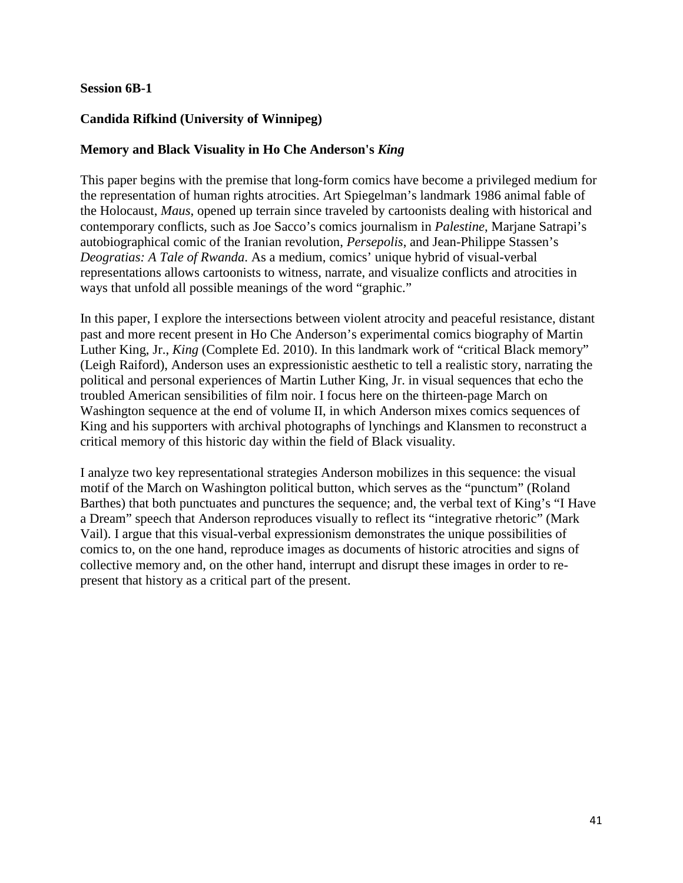#### **Session 6B-1**

# **Candida Rifkind (University of Winnipeg)**

# **Memory and Black Visuality in Ho Che Anderson's** *King*

This paper begins with the premise that long-form comics have become a privileged medium for the representation of human rights atrocities. Art Spiegelman's landmark 1986 animal fable of the Holocaust, *Maus*, opened up terrain since traveled by cartoonists dealing with historical and contemporary conflicts, such as Joe Sacco's comics journalism in *Palestine*, Marjane Satrapi's autobiographical comic of the Iranian revolution, *Persepolis*, and Jean-Philippe Stassen's *Deogratias: A Tale of Rwanda*. As a medium, comics' unique hybrid of visual-verbal representations allows cartoonists to witness, narrate, and visualize conflicts and atrocities in ways that unfold all possible meanings of the word "graphic."

In this paper, I explore the intersections between violent atrocity and peaceful resistance, distant past and more recent present in Ho Che Anderson's experimental comics biography of Martin Luther King, Jr., *King* (Complete Ed. 2010). In this landmark work of "critical Black memory" (Leigh Raiford), Anderson uses an expressionistic aesthetic to tell a realistic story, narrating the political and personal experiences of Martin Luther King, Jr. in visual sequences that echo the troubled American sensibilities of film noir. I focus here on the thirteen-page March on Washington sequence at the end of volume II, in which Anderson mixes comics sequences of King and his supporters with archival photographs of lynchings and Klansmen to reconstruct a critical memory of this historic day within the field of Black visuality.

I analyze two key representational strategies Anderson mobilizes in this sequence: the visual motif of the March on Washington political button, which serves as the "punctum" (Roland Barthes) that both punctuates and punctures the sequence; and, the verbal text of King's "I Have a Dream" speech that Anderson reproduces visually to reflect its "integrative rhetoric" (Mark Vail). I argue that this visual-verbal expressionism demonstrates the unique possibilities of comics to, on the one hand, reproduce images as documents of historic atrocities and signs of collective memory and, on the other hand, interrupt and disrupt these images in order to represent that history as a critical part of the present.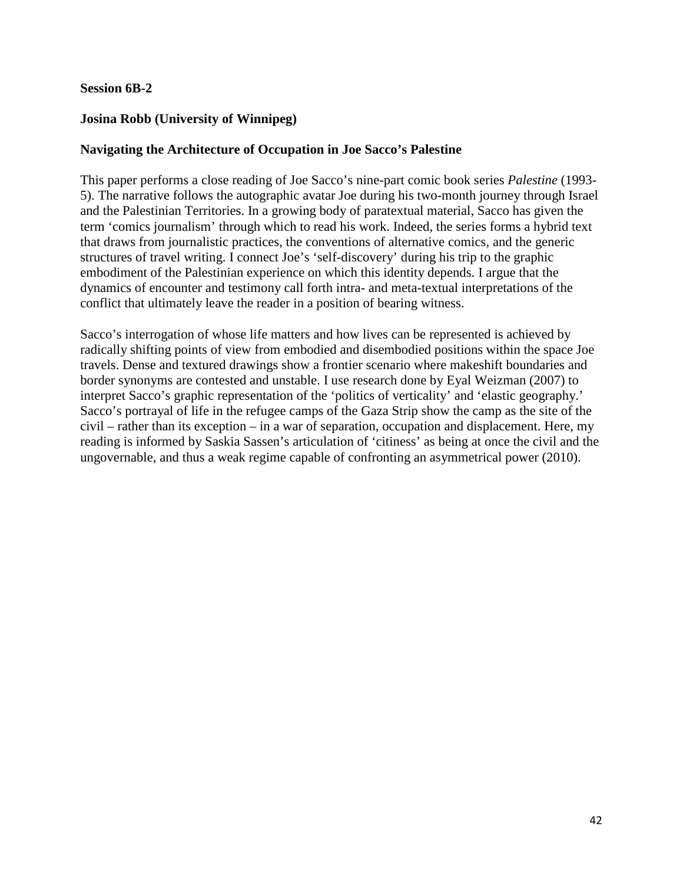## **Session 6B-2**

# **Josina Robb (University of Winnipeg)**

# **Navigating the Architecture of Occupation in Joe Sacco's Palestine**

This paper performs a close reading of Joe Sacco's nine-part comic book series *Palestine* (1993- 5). The narrative follows the autographic avatar Joe during his two-month journey through Israel and the Palestinian Territories. In a growing body of paratextual material, Sacco has given the term 'comics journalism' through which to read his work. Indeed, the series forms a hybrid text that draws from journalistic practices, the conventions of alternative comics, and the generic structures of travel writing. I connect Joe's 'self-discovery' during his trip to the graphic embodiment of the Palestinian experience on which this identity depends. I argue that the dynamics of encounter and testimony call forth intra- and meta-textual interpretations of the conflict that ultimately leave the reader in a position of bearing witness.

Sacco's interrogation of whose life matters and how lives can be represented is achieved by radically shifting points of view from embodied and disembodied positions within the space Joe travels. Dense and textured drawings show a frontier scenario where makeshift boundaries and border synonyms are contested and unstable. I use research done by Eyal Weizman (2007) to interpret Sacco's graphic representation of the 'politics of verticality' and 'elastic geography.' Sacco's portrayal of life in the refugee camps of the Gaza Strip show the camp as the site of the civil – rather than its exception – in a war of separation, occupation and displacement. Here, my reading is informed by Saskia Sassen's articulation of 'citiness' as being at once the civil and the ungovernable, and thus a weak regime capable of confronting an asymmetrical power (2010).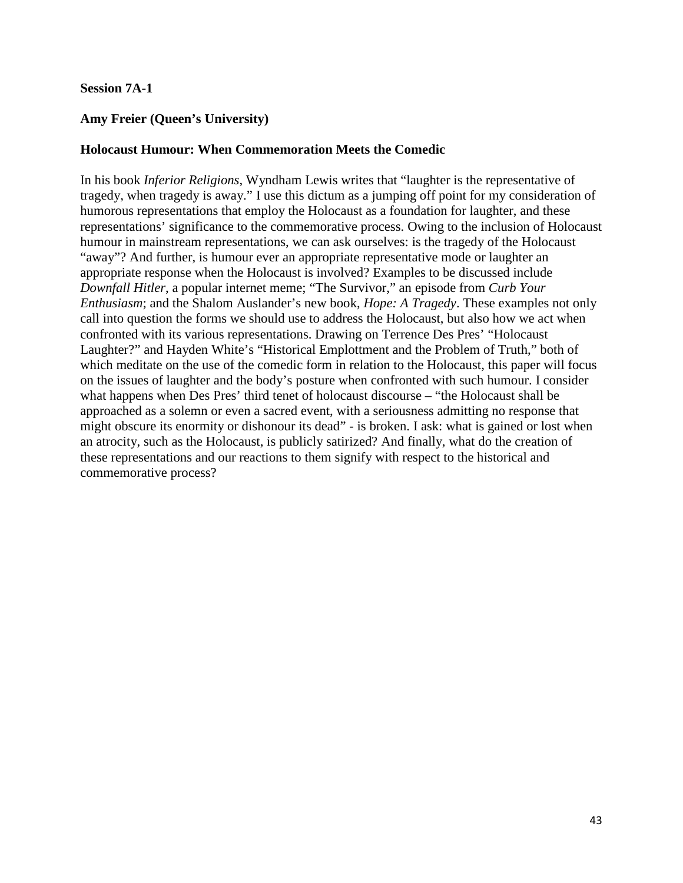## **Session 7A-1**

## **Amy Freier (Queen's University)**

#### **Holocaust Humour: When Commemoration Meets the Comedic**

In his book *Inferior Religions*, Wyndham Lewis writes that "laughter is the representative of tragedy, when tragedy is away." I use this dictum as a jumping off point for my consideration of humorous representations that employ the Holocaust as a foundation for laughter, and these representations' significance to the commemorative process. Owing to the inclusion of Holocaust humour in mainstream representations, we can ask ourselves: is the tragedy of the Holocaust "away"? And further, is humour ever an appropriate representative mode or laughter an appropriate response when the Holocaust is involved? Examples to be discussed include *Downfall Hitler*, a popular internet meme; "The Survivor," an episode from *Curb Your Enthusiasm*; and the Shalom Auslander's new book, *Hope: A Tragedy*. These examples not only call into question the forms we should use to address the Holocaust, but also how we act when confronted with its various representations. Drawing on Terrence Des Pres' "Holocaust Laughter?" and Hayden White's "Historical Emplottment and the Problem of Truth," both of which meditate on the use of the comedic form in relation to the Holocaust, this paper will focus on the issues of laughter and the body's posture when confronted with such humour. I consider what happens when Des Pres' third tenet of holocaust discourse – "the Holocaust shall be approached as a solemn or even a sacred event, with a seriousness admitting no response that might obscure its enormity or dishonour its dead" - is broken. I ask: what is gained or lost when an atrocity, such as the Holocaust, is publicly satirized? And finally, what do the creation of these representations and our reactions to them signify with respect to the historical and commemorative process?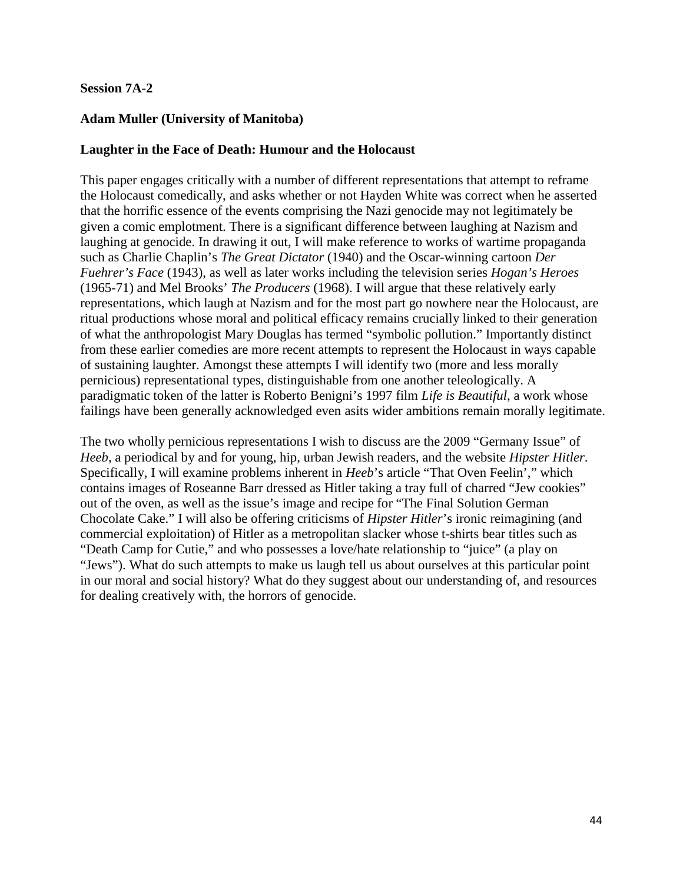## **Session 7A-2**

## **Adam Muller (University of Manitoba)**

#### **Laughter in the Face of Death: Humour and the Holocaust**

This paper engages critically with a number of different representations that attempt to reframe the Holocaust comedically, and asks whether or not Hayden White was correct when he asserted that the horrific essence of the events comprising the Nazi genocide may not legitimately be given a comic emplotment. There is a significant difference between laughing at Nazism and laughing at genocide. In drawing it out, I will make reference to works of wartime propaganda such as Charlie Chaplin's *The Great Dictator* (1940) and the Oscar-winning cartoon *Der Fuehrer's Face* (1943), as well as later works including the television series *Hogan's Heroes* (1965-71) and Mel Brooks' *The Producers* (1968). I will argue that these relatively early representations, which laugh at Nazism and for the most part go nowhere near the Holocaust, are ritual productions whose moral and political efficacy remains crucially linked to their generation of what the anthropologist Mary Douglas has termed "symbolic pollution." Importantly distinct from these earlier comedies are more recent attempts to represent the Holocaust in ways capable of sustaining laughter. Amongst these attempts I will identify two (more and less morally pernicious) representational types, distinguishable from one another teleologically. A paradigmatic token of the latter is Roberto Benigni's 1997 film *Life is Beautiful*, a work whose failings have been generally acknowledged even asits wider ambitions remain morally legitimate.

The two wholly pernicious representations I wish to discuss are the 2009 "Germany Issue" of *Heeb*, a periodical by and for young, hip, urban Jewish readers, and the website *Hipster Hitler*. Specifically, I will examine problems inherent in *Heeb*'s article "That Oven Feelin'," which contains images of Roseanne Barr dressed as Hitler taking a tray full of charred "Jew cookies" out of the oven, as well as the issue's image and recipe for "The Final Solution German Chocolate Cake." I will also be offering criticisms of *Hipster Hitler*'s ironic reimagining (and commercial exploitation) of Hitler as a metropolitan slacker whose t-shirts bear titles such as "Death Camp for Cutie," and who possesses a love/hate relationship to "juice" (a play on "Jews"). What do such attempts to make us laugh tell us about ourselves at this particular point in our moral and social history? What do they suggest about our understanding of, and resources for dealing creatively with, the horrors of genocide.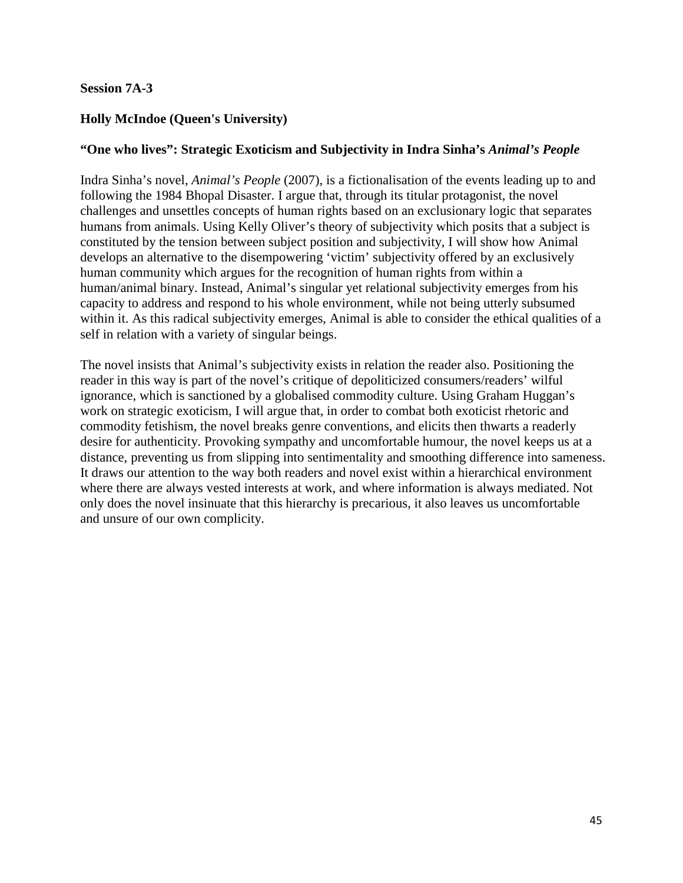## **Session 7A-3**

# **Holly McIndoe (Queen's University)**

#### **"One who lives": Strategic Exoticism and Subjectivity in Indra Sinha's** *Animal's People*

Indra Sinha's novel, *Animal's People* (2007)*,* is a fictionalisation of the events leading up to and following the 1984 Bhopal Disaster. I argue that, through its titular protagonist, the novel challenges and unsettles concepts of human rights based on an exclusionary logic that separates humans from animals. Using Kelly Oliver's theory of subjectivity which posits that a subject is constituted by the tension between subject position and subjectivity, I will show how Animal develops an alternative to the disempowering 'victim' subjectivity offered by an exclusively human community which argues for the recognition of human rights from within a human/animal binary. Instead, Animal's singular yet relational subjectivity emerges from his capacity to address and respond to his whole environment, while not being utterly subsumed within it. As this radical subjectivity emerges, Animal is able to consider the ethical qualities of a self in relation with a variety of singular beings.

The novel insists that Animal's subjectivity exists in relation the reader also. Positioning the reader in this way is part of the novel's critique of depoliticized consumers/readers' wilful ignorance, which is sanctioned by a globalised commodity culture. Using Graham Huggan's work on strategic exoticism, I will argue that, in order to combat both exoticist rhetoric and commodity fetishism, the novel breaks genre conventions, and elicits then thwarts a readerly desire for authenticity. Provoking sympathy and uncomfortable humour, the novel keeps us at a distance, preventing us from slipping into sentimentality and smoothing difference into sameness. It draws our attention to the way both readers and novel exist within a hierarchical environment where there are always vested interests at work, and where information is always mediated. Not only does the novel insinuate that this hierarchy is precarious, it also leaves us uncomfortable and unsure of our own complicity.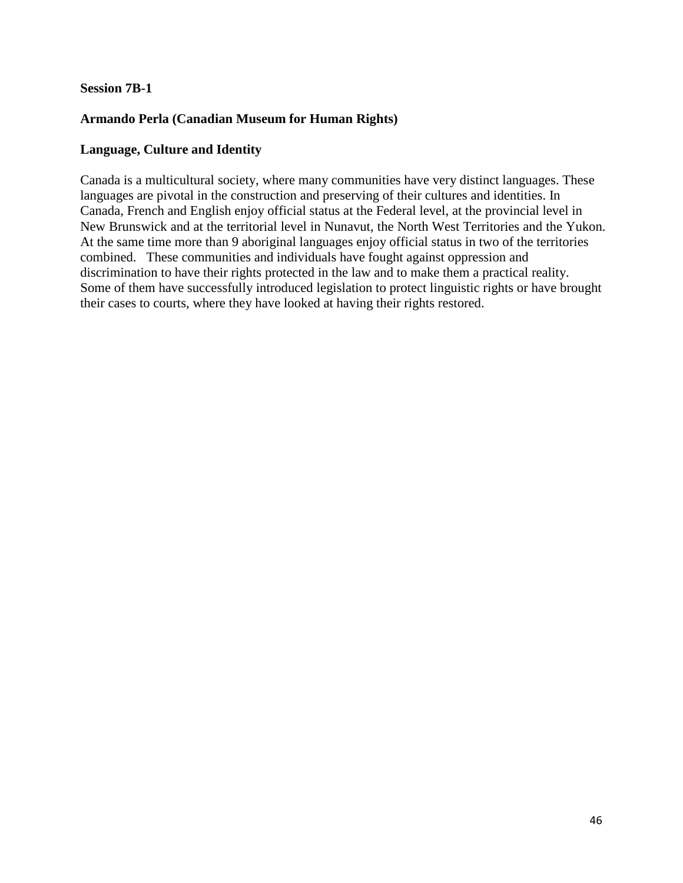## **Session 7B-1**

# **Armando Perla (Canadian Museum for Human Rights)**

#### **Language, Culture and Identity**

Canada is a multicultural society, where many communities have very distinct languages. These languages are pivotal in the construction and preserving of their cultures and identities. In Canada, French and English enjoy official status at the Federal level, at the provincial level in New Brunswick and at the territorial level in Nunavut, the North West Territories and the Yukon. At the same time more than 9 aboriginal languages enjoy official status in two of the territories combined. These communities and individuals have fought against oppression and discrimination to have their rights protected in the law and to make them a practical reality. Some of them have successfully introduced legislation to protect linguistic rights or have brought their cases to courts, where they have looked at having their rights restored.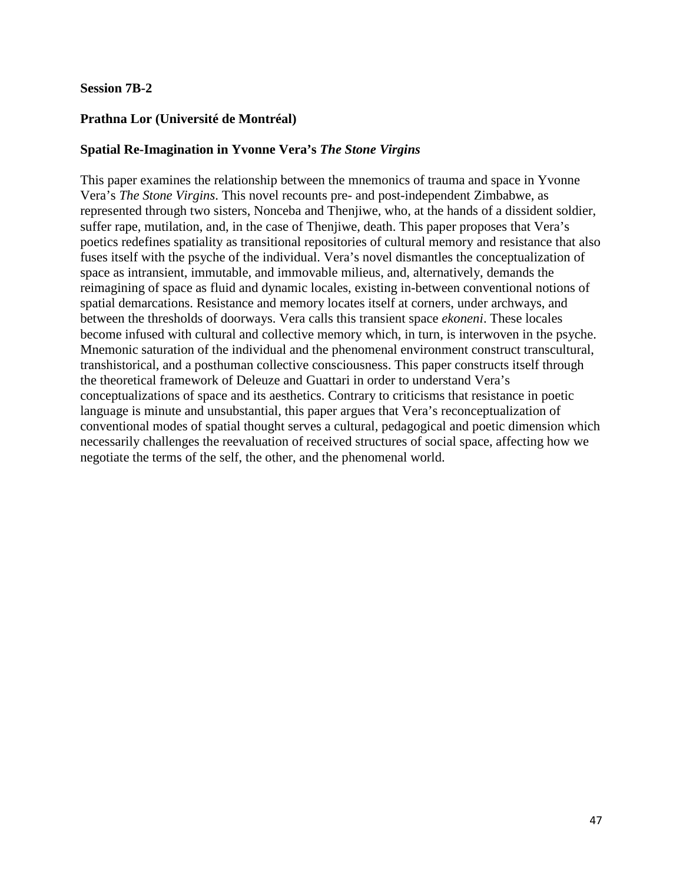#### **Session 7B-2**

# **Prathna Lor (Université de Montréal)**

## **Spatial Re-Imagination in Yvonne Vera's** *The Stone Virgins*

This paper examines the relationship between the mnemonics of trauma and space in Yvonne Vera's *The Stone Virgins*. This novel recounts pre- and post-independent Zimbabwe, as represented through two sisters, Nonceba and Thenjiwe, who, at the hands of a dissident soldier, suffer rape, mutilation, and, in the case of Thenjiwe, death. This paper proposes that Vera's poetics redefines spatiality as transitional repositories of cultural memory and resistance that also fuses itself with the psyche of the individual. Vera's novel dismantles the conceptualization of space as intransient, immutable, and immovable milieus, and, alternatively, demands the reimagining of space as fluid and dynamic locales, existing in-between conventional notions of spatial demarcations. Resistance and memory locates itself at corners, under archways, and between the thresholds of doorways. Vera calls this transient space *ekoneni*. These locales become infused with cultural and collective memory which, in turn, is interwoven in the psyche. Mnemonic saturation of the individual and the phenomenal environment construct transcultural, transhistorical, and a posthuman collective consciousness. This paper constructs itself through the theoretical framework of Deleuze and Guattari in order to understand Vera's conceptualizations of space and its aesthetics. Contrary to criticisms that resistance in poetic language is minute and unsubstantial, this paper argues that Vera's reconceptualization of conventional modes of spatial thought serves a cultural, pedagogical and poetic dimension which necessarily challenges the reevaluation of received structures of social space, affecting how we negotiate the terms of the self, the other, and the phenomenal world.